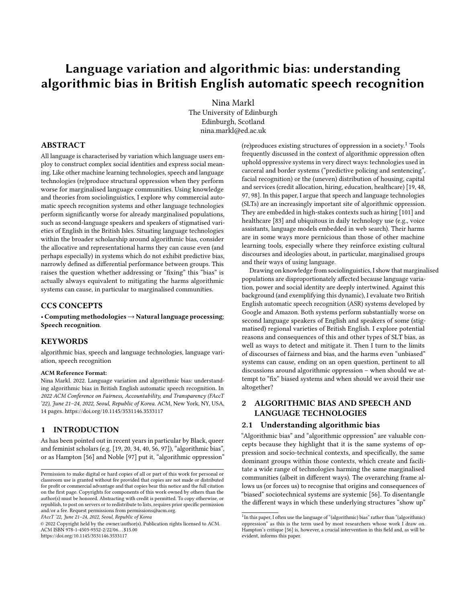# Language variation and algorithmic bias: understanding algorithmic bias in British English automatic speech recognition

[Nina Markl](https://orcid.org/0000-0001-9906-9961) The University of Edinburgh Edinburgh, Scotland nina.markl@ed.ac.uk

## ABSTRACT

All language is characterised by variation which language users employ to construct complex social identities and express social meaning. Like other machine learning technologies, speech and language technologies (re)produce structural oppression when they perform worse for marginalised language communities. Using knowledge and theories from sociolinguistics, I explore why commercial automatic speech recognition systems and other language technologies perform significantly worse for already marginalised populations, such as second-language speakers and speakers of stigmatised varieties of English in the British Isles. Situating language technologies within the broader scholarship around algorithmic bias, consider the allocative and representational harms they can cause even (and perhaps especially) in systems which do not exhibit predictive bias, narrowly defined as differential performance between groups. This raises the question whether addressing or "fixing" this "bias" is actually always equivalent to mitigating the harms algorithmic systems can cause, in particular to marginalised communities.

#### CCS CONCEPTS

• Computing methodologies → Natural language processing; Speech recognition.

## **KEYWORDS**

algorithmic bias, speech and language technologies, language variation, speech recognition

#### ACM Reference Format:

Nina Markl. 2022. Language variation and algorithmic bias: understanding algorithmic bias in British English automatic speech recognition. In 2022 ACM Conference on Fairness, Accountability, and Transparency (FAccT '22), June 21–24, 2022, Seoul, Republic of Korea. ACM, New York, NY, USA, [14](#page-13-0) pages.<https://doi.org/10.1145/3531146.3533117>

## 1 INTRODUCTION

As has been pointed out in recent years in particular by Black, queer and feminist scholars (e.g. [\[19,](#page-10-0) [20,](#page-10-1) [34,](#page-11-0) [40,](#page-11-1) [56,](#page-11-2) [97\]](#page-12-0)), "algorithmic bias", or as Hampton [\[56\]](#page-11-2) and Noble [\[97\]](#page-12-0) put it, "algorithmic oppression"

FAccT '22, June 21–24, 2022, Seoul, Republic of Korea

© 2022 Copyright held by the owner/author(s). Publication rights licensed to ACM. ACM ISBN 978-1-4503-9352-2/22/06. . . \$15.00 <https://doi.org/10.1145/3531146.3533117>

(re)produces existing structures of oppression in a society.[1](#page-0-0) Tools frequently discussed in the context of algorithmic oppression often uphold oppressive systems in very direct ways: technologies used in carceral and border systems ("predictive policing and sentencing", facial recognition) or the (uneven) distribution of housing, capital and services (credit allocation, hiring, education, healthcare) [\[19,](#page-10-0) [48,](#page-11-3) [97,](#page-12-0) [98\]](#page-12-1). In this paper, I argue that speech and language technologies (SLTs) are an increasingly important site of algorithmic oppression. They are embedded in high-stakes contexts such as hiring [\[101\]](#page-12-2) and healthcare [\[83\]](#page-12-3) and ubiquitous in daily technology use (e.g., voice assistants, language models embedded in web search). Their harms are in some ways more pernicious than those of other machine learning tools, especially where they reinforce existing cultural discourses and ideologies about, in particular, marginalised groups and their ways of using language.

Drawing on knowledge from sociolinguistics, I show that marginalised populations are disproportionately affected because language variation, power and social identity are deeply intertwined. Against this background (and exemplifying this dynamic), I evaluate two British English automatic speech recognition (ASR) systems developed by Google and Amazon. Both systems perform substantially worse on second language speakers of English and speakers of some (stigmatised) regional varieties of British English. I explore potential reasons and consequences of this and other types of SLT bias, as well as ways to detect and mitigate it. Then I turn to the limits of discourses of fairness and bias, and the harms even "unbiased" systems can cause, ending on an open question, pertinent to all discussions around algorithmic oppression – when should we attempt to "fix" biased systems and when should we avoid their use altogether?

## 2 ALGORITHMIC BIAS AND SPEECH AND LANGUAGE TECHNOLOGIES

#### 2.1 Understanding algorithmic bias

"Algorithmic bias" and "algorithmic oppression" are valuable concepts because they highlight that it is the same systems of oppression and socio-technical contexts, and specifically, the same dominant groups within those contexts, which create and facilitate a wide range of technologies harming the same marginalised communities (albeit in different ways). The overarching frame allows us (or forces us) to recognise that origins and consequences of "biased" sociotechnical systems are systemic [\[56\]](#page-11-2). To disentangle the different ways in which these underlying structures "show up"

Permission to make digital or hard copies of all or part of this work for personal or classroom use is granted without fee provided that copies are not made or distributed for profit or commercial advantage and that copies bear this notice and the full citation on the first page. Copyrights for components of this work owned by others than the author(s) must be honored. Abstracting with credit is permitted. To copy otherwise, or republish, to post on servers or to redistribute to lists, requires prior specific permission and/or a fee. Request permissions from permissions@acm.org.

<span id="page-0-0"></span><sup>&</sup>lt;sup>1</sup> In this paper, I often use the language of "(algorithmic) bias" rather than "(algorithmic) oppression" as this is the term used by most researchers whose work I draw on. Hampton's critique [\[56\]](#page-11-2) is, however, a crucial intervention in this field and, as will be evident, informs this paper.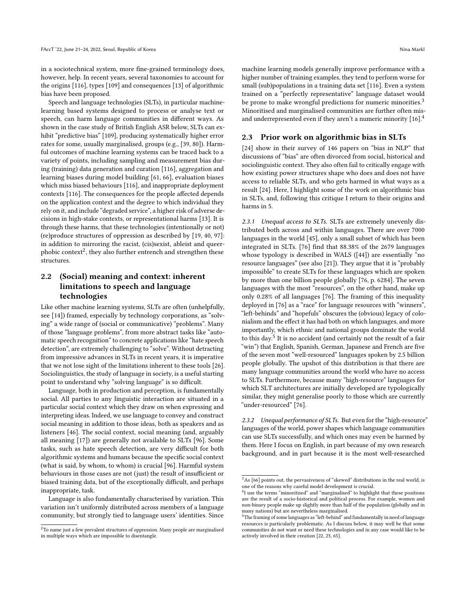in a sociotechnical system, more fine-grained terminology does, however, help. In recent years, several taxonomies to account for the origins [\[116\]](#page-13-1), types [\[109\]](#page-12-4) and consequences [\[13\]](#page-10-2) of algorithmic bias have been proposed.

Speech and language technologies (SLTs), in particular machinelearning based systems designed to process or analyse text or speech, can harm language communities in different ways. As shown in the case study of British English ASR below, SLTs can exhibit "predictive bias" [\[109\]](#page-12-4), producing systematically higher error rates for some, usually marginalised, groups (e.g., [\[39,](#page-11-4) [80\]](#page-12-5)). Harmful outcomes of machine learning systems can be traced back to a variety of points, including sampling and measurement bias during (training) data generation and curation [\[116\]](#page-13-1), aggregation and learning biases during model building [\[61,](#page-11-5) [66\]](#page-11-6), evaluation biases which miss biased behaviours [\[116\]](#page-13-1), and inappropriate deployment contexts [\[116\]](#page-13-1). The consequences for the people affected depends on the application context and the degree to which individual they rely on it, and include "degraded service", a higher risk of adverse decisions in high-stake contexts, or representational harms [\[13\]](#page-10-2). It is through these harms, that these technologies (intentionally or not) (re)produce structures of oppression as described by [\[19,](#page-10-0) [40,](#page-11-1) [97\]](#page-12-0): in addition to mirroring the racist, (cis)sexist, ableist and queerphobic context $^2$  $^2$ , they also further entrench and strengthen these structures.

# 2.2 (Social) meaning and context: inherent limitations to speech and language technologies

Like other machine learning systems, SLTs are often (unhelpfully, see [\[14\]](#page-10-3)) framed, especially by technology corporations, as "solving" a wide range of (social or communicative) "problems". Many of those "language problems", from more abstract tasks like "automatic speech recognition" to concrete applications like "hate speech detection", are extremely challenging to "solve". Without detracting from impressive advances in SLTs in recent years, it is imperative that we not lose sight of the limitations inherent to these tools [\[26\]](#page-10-4). Sociolinguistics, the study of language in society, is a useful starting point to understand why "solving language" is so difficult.

Language, both in production and perception, is fundamentally social. All parties to any linguistic interaction are situated in a particular social context which they draw on when expressing and interpreting ideas. Indeed, we use language to convey and construct social meaning in addition to those ideas, both as speakers and as listeners [\[46\]](#page-11-7). The social context, social meaning (and, arguably all meaning [\[17\]](#page-10-5)) are generally not available to SLTs [\[96\]](#page-12-6). Some tasks, such as hate speech detection, are very difficult for both algorithmic systems and humans because the specific social context (what is said, by whom, to whom) is crucial [\[96\]](#page-12-6). Harmful system behaviours in those cases are not (just) the result of insufficient or biased training data, but of the exceptionally difficult, and perhaps inappropriate, task.

Language is also fundamentally characterised by variation. This variation isn't uniformly distributed across members of a language community, but strongly tied to language users' identities. Since

machine learning models generally improve performance with a higher number of training examples, they tend to perform worse for small (sub)populations in a training data set [\[116\]](#page-13-1). Even a system trained on a "perfectly representative" language dataset would be prone to make wrongful predictions for numeric minorities.<sup>[3](#page-1-1)</sup> Minoritised and marginalised communities are further often misand underrepresented even if they aren't a numeric minority [\[16\]](#page-10-6).[4](#page-1-2)

## 2.3 Prior work on algorithmic bias in SLTs

[\[24\]](#page-10-7) show in their survey of 146 papers on "bias in NLP" that discussions of "bias" are often divorced from social, historical and sociolinguistic context. They also often fail to critically engage with how existing power structures shape who does and does not have access to reliable SLTs, and who gets harmed in what ways as a result [\[24\]](#page-10-7). Here, I highlight some of the work on algorithmic bias in SLTs, and, following this critique I return to their origins and harms in [5.](#page-5-0)

2.3.1 Unequal access to SLTs. SLTs are extremely unevenly distributed both across and within languages. There are over 7000 languages in the world [\[45\]](#page-11-8), only a small subset of which has been integrated in SLTs. [\[76\]](#page-11-9) find that 88.38% of the 2679 languages whose typology is described in WALS ([\[44\]](#page-11-10)) are essentially "no resource languages" (see also [\[21\]](#page-10-8)). They argue that it is "probably impossible" to create SLTs for these languages which are spoken by more than one billion people globally [\[76,](#page-11-9) p. 6284]. The seven languages with the most "resources", on the other hand, make up only 0.28% of all languages [\[76\]](#page-11-9). The framing of this inequality deployed in [\[76\]](#page-11-9) as a "race" for language resources with "winners", "left-behinds" and "hopefuls" obscures the (obvious) legacy of colonialism and the effect it has had both on which languages, and more importantly, which ethnic and national groups dominate the world to this day.<sup>[5](#page-1-3)</sup> It is no accident (and certainly not the result of a fair "win") that English, Spanish, German, Japanese and French are five of the seven most "well-resourced" languages spoken by 2.5 billion people globally. The upshot of this distribution is that there are many language communities around the world who have no access to SLTs. Furthermore, because many "high-resource" languages for which SLT architectures are initially developed are typologically similar, they might generalise poorly to those which are currently "under-resourced" [\[76\]](#page-11-9).

2.3.2 Unequal performance of SLTs. But even for the "high-resource" languages of the world, power shapes which language communities can use SLTs successfully, and which ones may even be harmed by them. Here I focus on English, in part because of my own research background, and in part because it is the most well-researched

<span id="page-1-0"></span><sup>&</sup>lt;sup>2</sup>To name just a few prevalent structures of oppression. Many people are marginalised in multiple ways which are impossible to disentangle.

<span id="page-1-1"></span> $3$ As [\[66\]](#page-11-6) points out, the pervasiveness of "skewed" distributions in the real world, is one of the reasons why careful model development is crucial.

<span id="page-1-2"></span><sup>&</sup>lt;sup>4</sup>I use the terms "minoritised" and "marginalised" to highlight that these positions are the result of a socio-historical and political process. For example, women and non-binary people make up slightly more than half of the population (globally and in many nations) but are nevertheless marginalised.

<span id="page-1-3"></span> $^{5}$ The framing of some languages as "left-behind" and fundamentally in need of language resources is particularly problematic. As I discuss below, it may well be that some communities do not want or need these technologies and in any case would like to be actively involved in their creation [\[22,](#page-10-9) [23,](#page-10-10) [65\]](#page-11-11).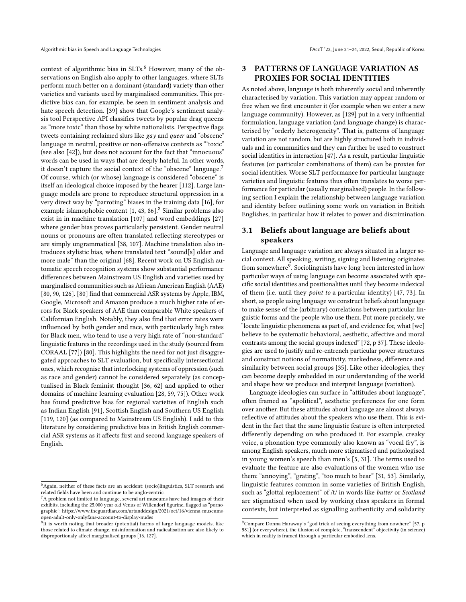context of algorithmic bias in SLTs.<sup>[6](#page-2-0)</sup> However, many of the observations on English also apply to other languages, where SLTs perform much better on a dominant (standard) variety than other varieties and variants used by marginalised communities. This predictive bias can, for example, be seen in sentiment analysis and hate speech detection. [\[39\]](#page-11-4) show that Google's sentiment analysis tool Perspective API classifies tweets by popular drag queens as "more toxic" than those by white nationalists. Perspective flags tweets containing reclaimed slurs like gay and queer and "obscene" language in neutral, positive or non-offensive contexts as "'toxic" (see also [\[42\]](#page-11-12)), but does not account for the fact that "innocuous" words can be used in ways that are deeply hateful. In other words, it doesn't capture the social context of the "obscene" language.[7](#page-2-1) Of course, which (or whose) language is considered "obscene" is itself an ideological choice imposed by the hearer [\[112\]](#page-12-7). Large language models are prone to reproduce structural oppression in a very direct way by "parroting" biases in the training data [\[16\]](#page-10-6), for example islamophobic content  $[1, 43, 86]$  $[1, 43, 86]$  $[1, 43, 86]$  $[1, 43, 86]$  $[1, 43, 86]$ .<sup>[8](#page-2-2)</sup> Similar problems also exist in in machine translation [\[107\]](#page-12-9) and word embeddings [\[27\]](#page-10-12) where gender bias proves particularly persistent. Gender neutral nouns or pronouns are often translated reflecting stereotypes or are simply ungrammatical [\[38,](#page-11-14) [107\]](#page-12-9). Machine translation also introduces stylistic bias, where translated text "sound[s] older and more male" than the original [\[68\]](#page-11-15). Recent work on US English automatic speech recognition systems show substantial performance differences between Mainstream US English and varieties used by marginalised communities such as African American English (AAE) [\[80,](#page-12-5) [90,](#page-12-10) [126\]](#page-13-2). [\[80\]](#page-12-5) find that commercial ASR systems by Apple, IBM, Google, Microsoft and Amazon produce a much higher rate of errors for Black speakers of AAE than comparable White speakers of Californian English. Notably, they also find that error rates were influenced by both gender and race, with particularly high rates for Black men, who tend to use a very high rate of "non-standard" linguistic features in the recordings used in the study (sourced from CORAAL [\[77\]](#page-11-16)) [\[80\]](#page-12-5). This highlights the need for not just disaggregated approaches to SLT evaluation, but specifically intersectional ones, which recognise that interlocking systems of oppression (such as race and gender) cannot be considered separately (as conceptualised in Black feminist thought [\[36,](#page-11-17) [62\]](#page-11-18) and applied to other domains of machine learning evaluation [\[28,](#page-10-13) [59,](#page-11-19) [75\]](#page-11-20)). Other work has found predictive bias for regional varieties of English such as Indian English [\[91\]](#page-12-11), Scottish English and Southern US English [\[119,](#page-13-3) [120\]](#page-13-4) (as compared to Mainstream US English). I add to this literature by considering predictive bias in British English commercial ASR systems as it affects first and second language speakers of English.

## 3 PATTERNS OF LANGUAGE VARIATION AS PROXIES FOR SOCIAL IDENTITIES

As noted above, language is both inherently social and inherently characterised by variation. This variation may appear random or free when we first encounter it (for example when we enter a new language community). However, as [\[129\]](#page-13-6) put in a very influential formulation, language variation (and language change) is characterised by "orderly heterogeneity". That is, patterns of language variation are not random, but are highly structured both in individuals and in communities and they can further be used to construct social identities in interaction [\[47\]](#page-11-21). As a result, particular linguistic features (or particular combinations of them) can be proxies for social identities. Worse SLT performance for particular language varieties and linguistic features thus often translates to worse performance for particular (usually marginalised) people. In the following section I explain the relationship between language variation and identity before outlining some work on variation in British Englishes, in particular how it relates to power and discrimination.

## 3.1 Beliefs about language are beliefs about speakers

Language and language variation are always situated in a larger social context. All speaking, writing, signing and listening originates from somewhere $^9$  $^9$ . Sociolinguists have long been interested in how particular ways of using language can become associated with specific social identities and positionalities until they become indexical of them (i.e. until they point to a particular identity) [\[47,](#page-11-21) [73\]](#page-11-22). In short, as people using language we construct beliefs about language to make sense of the (arbitrary) correlations between particular linguistic forms and the people who use them. Put more precisely, we "locate linguistic phenomena as part of, and evidence for, what [we] believe to be systematic behavioral, aesthetic, affective and moral contrasts among the social groups indexed" [\[72,](#page-11-23) p 37]. These ideologies are used to justify and re-entrench particular power structures and construct notions of normativity, markedness, difference and similarity between social groups [\[35\]](#page-11-24). Like other ideologies, they can become deeply embedded in our understanding of the world and shape how we produce and interpret language (variation).

Language ideologies can surface in "attitudes about language", often framed as "apolitical", aesthetic preferences for one form over another. But these attitudes about language are almost always reflective of attitudes about the speakers who use them. This is evident in the fact that the same linguistic feature is often interpreted differently depending on who produced it. For example, creaky voice, a phonation type commonly also known as "vocal fry", is among English speakers, much more stigmatised and pathologised in young women's speech than men's [\[5,](#page-10-14) [31\]](#page-10-15). The terms used to evaluate the feature are also evaluations of the women who use them: "annoying", "grating", "too much to bear" [\[31,](#page-10-15) [53\]](#page-11-25). Similarly, linguistic features common in some varieties of British English, such as "glottal replacement" of /t/ in words like *butter* or *Scotland* are stigmatised when used by working class speakers in formal contexts, but interpreted as signalling authenticity and solidarity

<span id="page-2-0"></span><sup>6</sup>Again, neither of these facts are an accident: (socio)linguistics, SLT research and related fields have been and continue to be anglo-centric.

<span id="page-2-1"></span> ${}^{7}$ A problem not limited to language, several art museums have had images of their exhibits, including the 25,000 year old Venus of Willendorf figurine, flagged as "pornographic": https://www.theguardian.com/artanddesign/2021/oct/16/vienna-museumsopen-adult-only-onlyfans-account-to-display-nudes

<span id="page-2-2"></span><sup>&</sup>lt;sup>8</sup>It is worth noting that broader (potential) harms of large language models, like those related to climate change, misinformation and radicalisation are also likely to disproportionaly affect marginalised groups [\[16,](#page-10-6) [127\]](#page-13-5).

<span id="page-2-3"></span> $9$ Compare Donna Haraway's "god trick of seeing everything from nowhere" [\[57,](#page-11-26) p 581] (or everywhere), the illusion of complete, "transcendent" objectivity (in science) which in reality is framed through a particular embodied lens.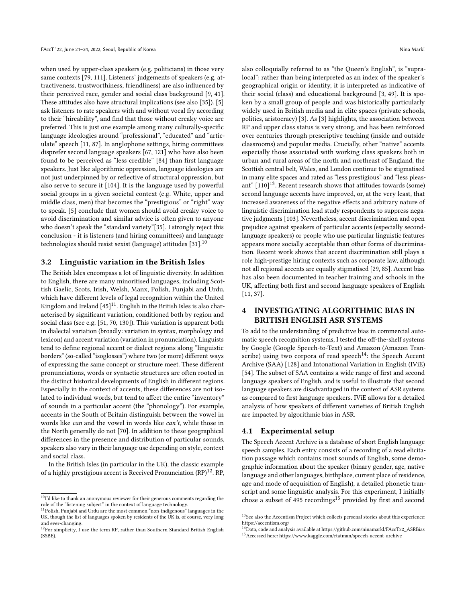when used by upper-class speakers (e.g. politicians) in those very same contexts [\[79,](#page-12-12) [111\]](#page-12-13). Listeners' judgements of speakers (e.g. attractiveness, trustworthiness, friendliness) are also influenced by their perceived race, gender and social class background [\[9,](#page-10-16) [41\]](#page-11-27). These attitudes also have structural implications (see also [\[35\]](#page-11-24)). [\[5\]](#page-10-14) ask listeners to rate speakers with and without vocal fry according to their "hireability", and find that those without creaky voice are preferred. This is just one example among many culturally-specific language ideologies around "professional", "educated" and "articulate" speech [\[11,](#page-10-17) [87\]](#page-12-14). In anglophone settings, hiring committees disprefer second language speakers [\[67,](#page-11-28) [121\]](#page-13-7) who have also been found to be perceived as "less credible" [\[84\]](#page-12-15) than first language speakers. Just like algorithmic oppression, language ideologies are not just underpinned by or reflective of structural oppression, but also serve to secure it [\[104\]](#page-12-16). It is the language used by powerful social groups in a given societal context (e.g. White, upper and middle class, men) that becomes the "prestigious" or "right" way to speak. [\[5\]](#page-10-14) conclude that women should avoid creaky voice to avoid discrimination and similar advice is often given to anyone who doesn't speak the "standard variety"[\[35\]](#page-11-24). I strongly reject this conclusion - it is listeners (and hiring committees) and language technologies should resist sexist (language) attitudes [\[31\]](#page-10-15).[10](#page-3-0)

#### 3.2 Linguistic variation in the British Isles

The British Isles encompass a lot of linguistic diversity. In addition to English, there are many minoritised languages, including Scottish Gaelic, Scots, Irish, Welsh, Manx, Polish, Punjabi and Urdu, which have different levels of legal recognition within the United Kingdom and Ireland  $\left[45\right]^{11}$  $\left[45\right]^{11}$  $\left[45\right]^{11}$ . English in the British Isles is also characterised by significant variation, conditioned both by region and social class (see e.g. [\[51,](#page-11-29) [70,](#page-11-30) [130\]](#page-13-8)). This variation is apparent both in dialectal variation (broadly: variation in syntax, morphology and lexicon) and accent variation (variation in pronunciation). Linguists tend to define regional accent or dialect regions along "linguistic borders" (so-called "isoglosses") where two (or more) different ways of expressing the same concept or structure meet. These different pronunciations, words or syntactic structures are often rooted in the distinct historical developments of English in different regions. Especially in the context of accents, these differences are not isolated to individual words, but tend to affect the entire "inventory" of sounds in a particular accent (the "phonology"). For example, accents in the South of Britain distinguish between the vowel in words like can and the vowel in words like can't, while those in the North generally do not [\[70\]](#page-11-30). In addition to these geographical differences in the presence and distribution of particular sounds, speakers also vary in their language use depending on style, context and social class.

In the British Isles (in particular in the UK), the classic example of a highly prestigious accent is Received Pronunciation (RP)<sup>[12](#page-3-2)</sup>. RP, also colloquially referred to as "the Queen's English", is "supralocal": rather than being interpreted as an index of the speaker's geographical origin or identity, it is interpreted as indicative of their social (class) and educational background [\[3,](#page-10-18) [49\]](#page-11-31). It is spoken by a small group of people and was historically particularly widely used in British media and in elite spaces (private schools, politics, aristocracy) [\[3\]](#page-10-18). As [\[3\]](#page-10-18) highlights, the association between RP and upper class status is very strong, and has been reinforced over centuries through prescriptive teaching (inside and outside classrooms) and popular media. Crucially, other "native" accents especially those associated with working class speakers both in urban and rural areas of the north and northeast of England, the Scottish central belt, Wales, and London continue to be stigmatised in many elite spaces and rated as "less prestigious" and "less pleas-ant" [\[110\]](#page-12-17)<sup>[13](#page-3-3)</sup>. Recent research shows that attitudes towards (some) second language accents have improved, or, at the very least, that increased awareness of the negative effects and arbitrary nature of linguistic discrimination lead study respondents to suppress negative judgments [\[103\]](#page-12-18). Nevertheless, accent discrimination and open prejudice against speakers of particular accents (especially secondlanguage speakers) or people who use particular linguistic features appears more socially acceptable than other forms of discrimination. Recent work shows that accent discrimination still plays a role high-prestige hiring contexts such as corporate law, although not all regional accents are equally stigmatised [\[29,](#page-10-19) [85\]](#page-12-19). Accent bias has also been documented in teacher training and schools in the UK, affecting both first and second language speakers of English [\[11,](#page-10-17) [37\]](#page-11-32).

# 4 INVESTIGATING ALGORITHMIC BIAS IN BRITISH ENGLISH ASR SYSTEMS

To add to the understanding of predictive bias in commercial automatic speech recognition systems, I tested the off-the-shelf systems by Google (Google Speech-to-Text) and Amazon (Amazon Tran-scribe) using two corpora of read speech<sup>[14](#page-3-4)</sup>: the Speech Accent Archive (SAA) [\[128\]](#page-13-9) and Intonational Variation in English (IViE) [\[54\]](#page-11-33). The subset of SAA contains a wide range of first and second language speakers of English, and is useful to illustrate that second language speakers are disadvantaged in the context of ASR systems as compared to first language speakers. IViE allows for a detailed analysis of how speakers of different varieties of British English are impacted by algorithmic bias in ASR.

## 4.1 Experimental setup

The Speech Accent Archive is a database of short English language speech samples. Each entry consists of a recording of a read elicitation passage which contains most sounds of English, some demographic information about the speaker (binary gender, age, native language and other languages, birthplace, current place of residence, age and mode of acquisition of English), a detailed phonetic transcript and some linguistic analysis. For this experiment, I initially chose a subset of 495 recordings<sup>[15](#page-3-5)</sup> provided by first and second

<span id="page-3-0"></span> $10$ <sup>T</sup>'d like to thank an anonymous reviewer for their generous comments regarding the role of the "listening subject" in the context of language technology.

<span id="page-3-1"></span><sup>11</sup>Polish, Punjabi and Urdu are the most common "non-indigenous" languages in the UK, though the list of languages spoken by residents of the UK is, of course, very long and ever-changing. <sup>12</sup>For simplicity, I use the term RP, rather than Southern Standard British English

<span id="page-3-2"></span><sup>(</sup>SSBE).

<span id="page-3-3"></span> $^{13}$  See also the Accentism Project which collects personal stories about this experience: <https://accentism.org/> <sup>14</sup>Data, code and analysis available at [https://github.com/ninamarkl/FAccT22\\_ASRBias](https://github.com/ninamarkl/FAccT22_ASRBias)

<span id="page-3-5"></span><span id="page-3-4"></span><sup>15</sup>Accessed here:<https://www.kaggle.com/rtatman/speech-accent-archive>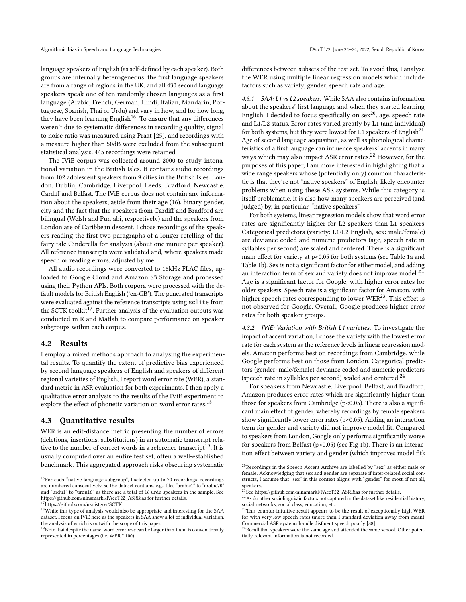language speakers of English (as self-defined by each speaker). Both groups are internally heterogeneous: the first language speakers are from a range of regions in the UK, and all 430 second language speakers speak one of ten randomly chosen languages as a first language (Arabic, French, German, Hindi, Italian, Mandarin, Portuguese, Spanish, Thai or Urdu) and vary in how, and for how long, they have been learning English $16$ . To ensure that any differences weren't due to systematic differences in recording quality, signal to noise ratio was measured using Praat [\[25\]](#page-10-20), and recordings with a measure higher than 50dB were excluded from the subsequent statistical analysis. 445 recordings were retained.

The IViE corpus was collected around 2000 to study intonational variation in the British Isles. It contains audio recordings from 102 adolescent speakers from 9 cities in the British Isles: London, Dublin, Cambridge, Liverpool, Leeds, Bradford, Newcastle, Cardiff and Belfast. The IViE corpus does not contain any information about the speakers, aside from their age (16), binary gender, city and the fact that the speakers from Cardiff and Bradford are bilingual (Welsh and Punjabi, respectively) and the speakers from London are of Caribbean descent. I chose recordings of the speakers reading the first two paragraphs of a longer retelling of the fairy tale Cinderella for analysis (about one minute per speaker). All reference transcripts were validated and, where speakers made speech or reading errors, adjusted by me.

All audio recordings were converted to 16kHz FLAC files, uploaded to Google Cloud and Amazon S3 Storage and processed using their Python APIs. Both corpora were processed with the default models for British English ('en-GB'). The generated transcripts were evaluated against the reference transcripts using sclite from the SCTK toolkit<sup>[17](#page-4-1)</sup>. Further analysis of the evaluation outputs was conducted in R and Matlab to compare performance on speaker subgroups within each corpus.

### <span id="page-4-9"></span>4.2 Results

I employ a mixed methods approach to analysing the experimental results. To quantify the extent of predictive bias experienced by second language speakers of English and speakers of different regional varieties of English, I report word error rate (WER), a standard metric in ASR evaluation for both experiments. I then apply a qualitative error analysis to the results of the IViE experiment to explore the effect of phonetic variation on word error rates.<sup>[18](#page-4-2)</sup>

#### 4.3 Quantitative results

WER is an edit-distance metric presenting the number of errors (deletions, insertions, substitutions) in an automatic transcript rela-tive to the number of correct words in a reference transcript<sup>[19](#page-4-3)</sup>. It is usually computed over an entire test set, often a well-established benchmark. This aggregated approach risks obscuring systematic

differences between subsets of the test set. To avoid this, I analyse the WER using multiple linear regression models which include factors such as variety, gender, speech rate and age.

4.3.1 SAA: L1 vs L2 speakers. While SAA also contains information about the speakers' first language and when they started learning English, I decided to focus specifically on  $sex^{20}$  $sex^{20}$  $sex^{20}$ , age, speech rate and L1/L2 status. Error rates varied greatly by L1 (and individual) for both systems, but they were lowest for L1 speakers of English $^{21}$  $^{21}$  $^{21}$ . Age of second language acquisition, as well as phonological characteristics of a first language can influence speakers' accents in many ways which may also impact ASR error rates.<sup>[22](#page-4-6)</sup> However, for the purposes of this paper, I am more interested in highlighting that a wide range speakers whose (potentially only) common characteristic is that they're not "native speakers" of English, likely encounter problems when using these ASR systems. While this category is itself problematic, it is also how many speakers are perceived (and judged) by, in particular, "native speakers".

For both systems, linear regression models show that word error rates are significantly higher for L2 speakers than L1 speakers. Categorical predictors (variety: L1/L2 English, sex: male/female) are deviance coded and numeric predictors (age, speech rate in syllables per second) are scaled and centered. There is a significant main effect for variety at p<0.05 for both systems (see Table [1a](#page-5-1) and Table [1b\)](#page-5-1). Sex is not a significant factor for either model, and adding an interaction term of sex and variety does not improve model fit. Age is a significant factor for Google, with higher error rates for older speakers. Speech rate is a significant factor for Amazon, with higher speech rates corresponding to lower  $\rm WER^{23}.$  $\rm WER^{23}.$  $\rm WER^{23}.$  This effect is not observed for Google. Overall, Google produces higher error rates for both speaker groups.

4.3.2 IViE: Variation with British L1 varieties. To investigate the impact of accent variation, I chose the variety with the lowest error rate for each system as the reference levels in linear regression models. Amazon performs best on recordings from Cambridge, while Google performs best on those from London. Categorical predictors (gender: male/female) deviance coded and numeric predictors (speech rate in syllables per second) scaled and centered. $^{24}$  $^{24}$  $^{24}$ 

For speakers from Newcastle, Liverpool, Belfast, and Bradford, Amazon produces error rates which are significantly higher than those for speakers from Cambridge ( $p<0.05$ ). There is also a significant main effect of gender, whereby recordings by female speakers show significantly lower error rates (p<0.05). Adding an interaction term for gender and variety did not improve model fit. Compared to speakers from London, Google only performs significantly worse for speakers from Belfast (p<0.05) (see Fig [1b\)](#page-7-0). There is an interaction effect between variety and gender (which improves model fit):

<span id="page-4-0"></span><sup>16</sup>For each "native language subgroup", I selected up to 70 recordings: recordings are numbered consecutively, so the dataset contains, e.g., files "arabic1" to "arabic70 and "urdu1" to "urdu16" as there are a total of 16 urdu speakers in the sample. See [https://github.com/ninamarkl/FAccT22\\_ASRBias](https://github.com/ninamarkl/FAccT22_ASRBias) for further details.

<span id="page-4-1"></span><sup>17</sup>https://github.com/usnistgov/SCTK

<span id="page-4-2"></span><sup>&</sup>lt;sup>18</sup>While this type of analysis would also be appropriate and interesting for the SAA dataset, I focus on IViE here as the speakers in SAA show a lot of individual variation, the analysis of which is outwith the scope of this paper.

<span id="page-4-3"></span> $19$ Note that despite the name, word error *rate* can be larger than 1 and is conventionally represented in percentages (i.e. WER \* 100)

<span id="page-4-4"></span> $^{20}\rm{Recordings}$  in the Speech Accent Archive are labelled by "sex" as either male or female. Acknowledging that sex and gender are separate if inter-related social constructs, I assume that "sex" in this context aligns with "gender" for most, if not all,

<span id="page-4-5"></span>speakers.<br><sup>21</sup>See [https://github.com/ninamarkl/FAccT22\\_ASRBias](https://github.com/ninamarkl/FAccT22_ASRBias) for further details.

<span id="page-4-6"></span><sup>&</sup>lt;sup>22</sup>As do other sociolinguistic factors not captured in the dataset like residential history, social networks, social class, education, etc.

<span id="page-4-7"></span> $^{23}$ This counter-intuitive result appears to be the result of exceptionally high WER for with very low speech rates (more than 1 standard deviation away from mean). Commercial ASR systems handle disfluent speech poorly [\[88\]](#page-12-20).

<span id="page-4-8"></span><sup>&</sup>lt;sup>24</sup>Recall that speakers were the same age and attended the same school. Other potentially relevant information is not recorded.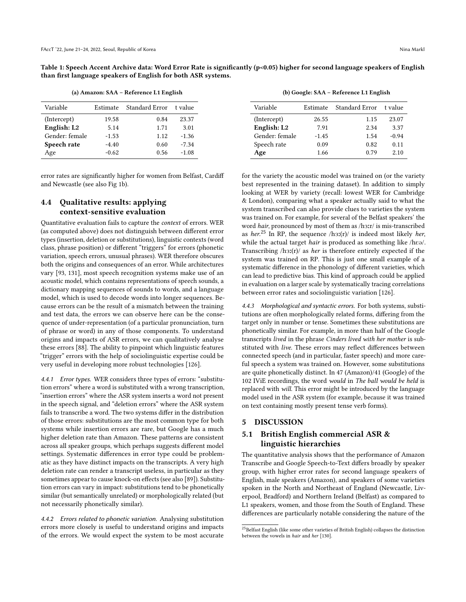<span id="page-5-1"></span>Table 1: Speech Accent Archive data: Word Error Rate is significantly (p<0.05) higher for second language speakers of English than first language speakers of English for both ASR systems.

(a) Amazon: SAA – Reference L1 English

| Variable       | Estimate | Standard Error | t value |
|----------------|----------|----------------|---------|
| (Intercept)    | 19.58    | 0.84           | 23.37   |
| English: L2    | 5.14     | 1.71           | 3.01    |
| Gender: female | $-1.53$  | 1.12           | $-1.36$ |
| Speech rate    | $-4.40$  | 0.60           | $-7.34$ |
| Age            | $-0.62$  | 0.56           | $-1.08$ |

error rates are significantly higher for women from Belfast, Cardiff and Newcastle (see also Fig [1b\)](#page-7-0).

## 4.4 Qualitative results: applying context-sensitive evaluation

Quantitative evaluation fails to capture the context of errors. WER (as computed above) does not distinguish between different error types (insertion, deletion or substitutions), linguistic contexts (word class, phrase position) or different "triggers" for errors (phonetic variation, speech errors, unusual phrases). WER therefore obscures both the origins and consequences of an error. While architectures vary [\[93,](#page-12-21) [131\]](#page-13-10), most speech recognition systems make use of an acoustic model, which contains representations of speech sounds, a dictionary mapping sequences of sounds to words, and a language model, which is used to decode words into longer sequences. Because errors can be the result of a mismatch between the training and test data, the errors we can observe here can be the consequence of under-representation (of a particular pronunciation, turn of phrase or word) in any of those components. To understand origins and impacts of ASR errors, we can qualitatively analyse these errors [\[88\]](#page-12-20). The ability to pinpoint which linguistic features "trigger" errors with the help of sociolinguistic expertise could be very useful in developing more robust technologies [\[126\]](#page-13-2).

4.4.1 Error types. WER considers three types of errors: "substitution errors" where a word is substituted with a wrong transcription, "insertion errors" where the ASR system inserts a word not present in the speech signal, and "deletion errors" where the ASR system fails to transcribe a word. The two systems differ in the distribution of those errors: substitutions are the most common type for both systems while insertion errors are rare, but Google has a much higher deletion rate than Amazon. These patterns are consistent across all speaker groups, which perhaps suggests different model settings. Systematic differences in error type could be problematic as they have distinct impacts on the transcripts. A very high deletion rate can render a transcript useless, in particular as they sometimes appear to cause knock-on effects (see also [\[89\]](#page-12-22)). Substitution errors can vary in impact: substitutions tend to be phonetically similar (but semantically unrelated) or morphologically related (but not necessarily phonetically similar).

4.4.2 Errors related to phonetic variation. Analysing substitution errors more closely is useful to understand origins and impacts of the errors. We would expect the system to be most accurate

(b) Google: SAA – Reference L1 English

| Variable       | Estimate | <b>Standard Error</b> | t value |
|----------------|----------|-----------------------|---------|
| (Intercept)    | 26.55    | 1.15                  | 23.07   |
| English: L2    | 7.91     | 2.34                  | 3.37    |
| Gender: female | $-1.45$  | 1.54                  | $-0.94$ |
| Speech rate    | 0.09     | 0.82                  | 0.11    |
| Age            | 1.66     | 0.79                  | 2.10    |

for the variety the acoustic model was trained on (or the variety best represented in the training dataset). In addition to simply looking at WER by variety (recall: lowest WER for Cambridge & London), comparing what a speaker actually said to what the system transcribed can also provide clues to varieties the system was trained on. For example, for several of the Belfast speakers' the word hair, pronounced by most of them as /h3:r/ is mis-transcribed as her.<sup>[25](#page-5-2)</sup> In RP, the sequence  $/h3(f)/$  is indeed most likely her, while the actual target hair is produced as something like /hɛə/. Transcribing  $/h3:(r)/$  as *her* is therefore entirely expected if the system was trained on RP. This is just one small example of a systematic difference in the phonology of different varieties, which can lead to predictive bias. This kind of approach could be applied in evaluation on a larger scale by systematically tracing correlations between error rates and sociolinguistic variation [\[126\]](#page-13-2).

4.4.3 Morphological and syntactic errors. For both systems, substitutions are often morphologically related forms, differing from the target only in number or tense. Sometimes these substitutions are phonetically similar. For example, in more than half of the Google transcripts lived in the phrase Cinders lived with her mother is substituted with live. These errors may reflect differences between connected speech (and in particular, faster speech) and more careful speech a system was trained on. However, some substitutions are quite phonetically distinct. In 47 (Amazon)/41 (Google) of the 102 IViE recordings, the word would in The ball would be held is replaced with will. This error might be introduced by the language model used in the ASR system (for example, because it was trained on text containing mostly present tense verb forms).

#### <span id="page-5-0"></span>5 DISCUSSION

# 5.1 British English commercial ASR & linguistic hierarchies

The quantitative analysis shows that the performance of Amazon Transcribe and Google Speech-to-Text differs broadly by speaker group, with higher error rates for second language speakers of English, male speakers (Amazon), and speakers of some varieties spoken in the North and Northeast of England (Newcastle, Liverpool, Bradford) and Northern Ireland (Belfast) as compared to L1 speakers, women, and those from the South of England. These differences are particularly notable considering the nature of the

<span id="page-5-2"></span> $^{25}\rm{Belfast}$  English (like some other varieties of British English) collapses the distinction between the vowels in hair and her [\[130\]](#page-13-8).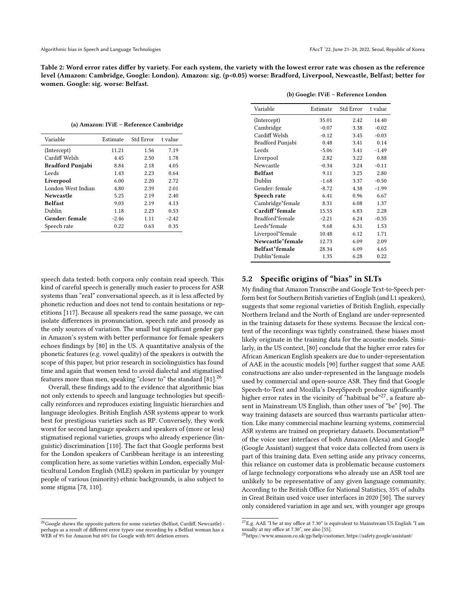Table 2: Word error rates differ by variety. For each system, the variety with the lowest error rate was chosen as the reference level (Amazon: Cambridge, Google: London). Amazon: sig. (p<0.05) worse: Bradford, Liverpool, Newcastle, Belfast; better for women. Google: sig. worse: Belfast.

(a) Amazon: IViE – Reference Cambridge

| Variable                | Estimate | Std Error | t value |
|-------------------------|----------|-----------|---------|
| (Intercept)             | 11.21    | 1.56      | 7.19    |
| Cardiff Welsh           | 4.45     | 2.50      | 1.78    |
| <b>Bradford Punjabi</b> | 8.84     | 2.18      | 4.05    |
| Leeds                   | 1.43     | 2.23      | 0.64    |
| Liverpool               | 6.00     | 2.20      | 2.72    |
| London West Indian      | 4.80     | 2.39      | 2.01    |
| <b>Newcastle</b>        | 5.25     | 2.19      | 2.40    |
| <b>Belfast</b>          | 9.03     | 2.19      | 4.13    |
| Dublin                  | 1.18     | 2.23      | 0.53    |
| Gender: female          | $-2.46$  | 1.11      | $-2.42$ |
| Speech rate             | 0.22     | 0.63      | 0.35    |

speech data tested: both corpora only contain read speech. This kind of careful speech is generally much easier to process for ASR systems than "real" conversational speech, as it is less affected by phonetic reduction and does not tend to contain hesitations or repetitions [\[117\]](#page-13-11). Because all speakers read the same passage, we can isolate differences in pronunciation, speech rate and prosody as the only sources of variation. The small but significant gender gap in Amazon's system with better performance for female speakers echoes findings by [\[80\]](#page-12-5) in the US. A quantitative analysis of the phonetic features (e.g. vowel quality) of the speakers is outwith the scope of this paper, but prior research in sociolinguistics has found time and again that women tend to avoid dialectal and stigmatised features more than men, speaking "closer to" the standard [\[81\]](#page-12-23).[26](#page-6-0)

Overall, these findings add to the evidence that algorithmic bias not only extends to speech and language technologies but specifically reinforces and reproduces existing linguistic hierarchies and language ideologies. British English ASR systems appear to work best for prestigious varieties such as RP. Conversely, they work worst for second language speakers and speakers of (more or less) stigmatised regional varieties, groups who already experience (linguistic) discrimination [\[110\]](#page-12-17). The fact that Google performs best for the London speakers of Caribbean heritage is an interesting complication here, as some varieties within London, especially Multicultural London English (MLE) spoken in particular by younger people of various (minority) ethnic backgrounds, is also subject to some stigma [\[78,](#page-12-24) [110\]](#page-12-17).

#### <span id="page-6-0"></span><sup>26</sup> Google shows the opposite pattern for some varieties (Belfast, Cardiff, Newcastle) perhaps as a result of different error types: one recording by a Belfast woman has a WER of 9% for Amazon but 60% for Google with 80% deletion errors.

| Variable         | Estimate | Std Error | t value |
|------------------|----------|-----------|---------|
| (Intercept)      | 35.01    | 2.42      | 14.40   |
| Cambridge        | $-0.07$  | 3.38      | $-0.02$ |
| Cardiff Welsh    | $-0.12$  | 3.45      | $-0.03$ |
| Bradford Punjabi | 0.48     | 3.41      | 0.14    |
| Leeds            | $-5.06$  | 3.41      | $-1.49$ |
| Liverpool        | 2.82     | 3.22      | 0.88    |
| Newcastle        | $-0.34$  | 3.24      | $-0.11$ |
| <b>Belfast</b>   | 9.11     | 3.25      | 2.80    |
| Dublin           | $-1.68$  | 3.37      | $-0.50$ |
| Gender: female   | $-8.72$  | 4.38      | $-1.99$ |
| Speech rate      | 6.41     | 0.96      | 6.67    |
| Cambridge*female | 8.31     | 6.08      | 1.37    |
| Cardiff*female   | 15.55    | 6.83      | 2.28    |
| Bradford*female  | $-2.21$  | 6 24      | $-0.35$ |
| Leeds*female     | 9.68     | 6.31      | 1.53    |
| Liverpool*female | 10.48    | 6.12      | 1.71    |
| Newcastle*female | 12.73    | 6.09      | 2.09    |
| Belfast*female   | 28.34    | 6.09      | 4.65    |
| Dublin*female    | 1.35     | 6.28      | 0.22    |
|                  |          |           |         |

#### (b) Google: IViE – Reference London

## 5.2 Specific origins of "bias" in SLTs

My finding that Amazon Transcribe and Google Text-to-Speech perform best for Southern British varieties of English (and L1 speakers), suggests that some regional varieties of British English, especially Northern Ireland and the North of England are under-represented in the training datasets for these systems. Because the lexical content of the recordings was tightly constrained, these biases most likely originate in the training data for the acoustic models. Similarly, in the US context, [\[80\]](#page-12-5) conclude that the higher error rates for African American English speakers are due to under-representation of AAE in the acoustic models [\[90\]](#page-12-10) further suggest that some AAE constructions are also under-represented in the language models used by commercial and open-source ASR. They find that Google Speech-to-Text and Mozilla's DeepSpeech produce significantly higher error rates in the vicinity of "habitual be"<sup>[27](#page-6-1)</sup>, a feature absent in Mainstream US English, than other uses of "be" [\[90\]](#page-12-10). The way training datasets are sourced thus warrants particular attention. Like many commercial machine learning systems, commercial ASR systems are trained on proprietary datasets. Documentation<sup>[28](#page-6-2)</sup> of the voice user interfaces of both Amazon (Alexa) and Google (Google Assistant) suggest that voice data collected from users is part of this training data. Even setting aside any privacy concerns, this reliance on customer data is problematic because customers of large technology corporations who already use an ASR tool are unlikely to be representative of any given language community. According to the British Office for National Statistics, 35% of adults in Great Britain used voice user interfaces in 2020 [\[50\]](#page-11-34). The survey only considered variation in age and sex, with younger age groups

<span id="page-6-1"></span> $^{27}{\rm E.g.}$  AAE "I be at my office at 7.30" is equivalent to Mainstream US English "I am usually at my office at 7.30", see also [\[55\]](#page-11-35).

<span id="page-6-2"></span><sup>28</sup>https://www.amazon.co.uk/gp/help/customer, https://safety.google/assistant/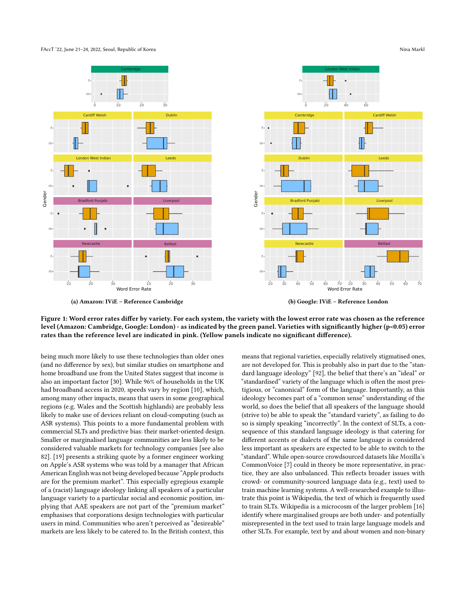FAccT '22, June 21–24, 2022, Seoul, Republic of Korea Nina Markl (1999) and September 2014, the Markl (1999) and Markl (1999) and Markl (1999) and Markl (1999) and Markl (1999) and Markl (1999) and Markl (1999) and Markl (

<span id="page-7-0"></span>

Figure 1: Word error rates differ by variety. For each system, the variety with the lowest error rate was chosen as the reference level (Amazon: Cambridge, Google: London) - as indicated by the green panel. Varieties with significantly higher (p<0.05) error rates than the reference level are indicated in pink. (Yellow panels indicate no significant difference).

being much more likely to use these technologies than older ones (and no difference by sex), but similar studies on smartphone and home broadband use from the United States suggest that income is also an important factor [\[30\]](#page-10-21). While 96% of households in the UK had broadband access in 2020, speeds vary by region [\[10\]](#page-10-22), which, among many other impacts, means that users in some geographical regions (e.g. Wales and the Scottish highlands) are probably less likely to make use of devices reliant on cloud-computing (such as ASR systems). This points to a more fundamental problem with commercial SLTs and predictive bias: their market-oriented design. Smaller or marginalised language communities are less likely to be considered valuable markets for technology companies [see also [82\]](#page-12-25). [\[19\]](#page-10-0) presents a striking quote by a former engineer working on Apple's ASR systems who was told by a manager that African American English was not being developed because "Apple products are for the premium market". This especially egregious example of a (racist) language ideology linking all speakers of a particular language variety to a particular social and economic position, implying that AAE speakers are not part of the "premium market" emphasises that corporations design technologies with particular users in mind. Communities who aren't perceived as "desireable" markets are less likely to be catered to. In the British context, this

means that regional varieties, especially relatively stigmatised ones, are not developed for. This is probably also in part due to the "standard language ideology" [\[92\]](#page-12-26), the belief that there's an "ideal" or "standardised" variety of the language which is often the most prestigious, or "canonical" form of the language. Importantly, as this ideology becomes part of a "common sense" understanding of the world, so does the belief that all speakers of the language should (strive to) be able to speak the "standard variety", as failing to do so is simply speaking "incorrectly". In the context of SLTs, a consequence of this standard language ideology is that catering for different accents or dialects of the same language is considered less important as speakers are expected to be able to switch to the "standard". While open-source crowdsourced datasets like Mozilla's CommonVoice [\[7\]](#page-10-23) could in theory be more representative, in practice, they are also unbalanced. This reflects broader issues with crowd- or community-sourced language data (e.g., text) used to train machine learning systems. A well-researched example to illustrate this point is Wikipedia, the text of which is frequently used to train SLTs. Wikipedia is a microcosm of the larger problem [\[16\]](#page-10-6) identify where marginalised groups are both under- and potentially misrepresented in the text used to train large language models and other SLTs. For example, text by and about women and non-binary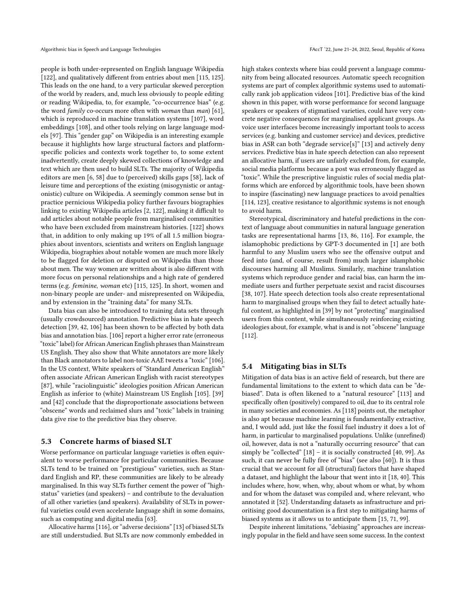people is both under-represented on English language Wikipedia [\[122\]](#page-13-12), and qualitatively different from entries about men [\[115,](#page-12-27) [125\]](#page-13-13). This leads on the one hand, to a very particular skewed perception of the world by readers, and, much less obviously to people editing or reading Wikipedia, to, for example, "co-occurrence bias" (e.g. the word *family* co-occurs more often with *woman* than *man*) [\[61\]](#page-11-5), which is reproduced in machine translation systems [\[107\]](#page-12-9), word embeddings [\[108\]](#page-12-28), and other tools relying on large language models [\[97\]](#page-12-0). This "gender gap" on Wikipedia is an interesting example because it highlights how large structural factors and platformspecific policies and contexts work together to, to some extent inadvertently, create deeply skewed collections of knowledge and text which are then used to build SLTs. The majority of Wikipedia editors are men [\[6,](#page-10-24) [58\]](#page-11-36) due to (perceived) skills gaps [\[58\]](#page-11-36), lack of leisure time and perceptions of the existing (misogynistic or antagonistic) culture on Wikipedia. A seemingly common sense but in practice pernicious Wikipedia policy further favours biographies linking to existing Wikipedia articles [\[2,](#page-10-25) [122\]](#page-13-12), making it difficult to add articles about notable people from marginalised communities who have been excluded from mainstream histories. [\[122\]](#page-13-12) shows that, in addition to only making up 19% of all 1.5 million biographies about inventors, scientists and writers on English language Wikipedia, biographies about notable women are much more likely to be flagged for deletion or disputed on Wikipedia than those about men. The way women are written about is also different with more focus on personal relationships and a high rate of gendered terms (e.g. feminine, woman etc) [\[115,](#page-12-27) [125\]](#page-13-13). In short, women and non-binary people are under- and misrepresented on Wikipedia, and by extension in the "training data" for many SLTs.

Data bias can also be introduced to training data sets through (usually crowdsourced) annotation. Predictive bias in hate speech detection [\[39,](#page-11-4) [42,](#page-11-12) [106\]](#page-12-29) has been shown to be affected by both data bias and annotation bias. [\[106\]](#page-12-29) report a higher error rate (erroneous "toxic" label) for African American English phrases than Mainstream US English. They also show that White annotators are more likely than Black annotators to label non-toxic AAE tweets a "toxic" [\[106\]](#page-12-29). In the US context, White speakers of "Standard American English" often associate African American English with racist stereotypes [\[87\]](#page-12-14), while "raciolinguistic" ideologies position African American English as inferior to (white) Mainstream US English [\[105\]](#page-12-30). [\[39\]](#page-11-4) and [\[42\]](#page-11-12) conclude that the disproportionate associations between "obscene" words and reclaimed slurs and "toxic" labels in training data give rise to the predictive bias they observe.

#### 5.3 Concrete harms of biased SLT

Worse performance on particular language varieties is often equivalent to worse performance for particular communities. Because SLTs tend to be trained on "prestigious" varieties, such as Standard English and RP, these communities are likely to be already marginalised. In this way SLTs further cement the power of "highstatus" varieties (and speakers) – and contribute to the devaluation of all other varieties (and speakers). Availability of SLTs in powerful varieties could even accelerate language shift in some domains, such as computing and digital media [\[63\]](#page-11-37).

Allocative harms [\[116\]](#page-13-1), or "adverse decisions" [\[13\]](#page-10-2) of biased SLTs are still understudied. But SLTs are now commonly embedded in high stakes contexts where bias could prevent a language community from being allocated resources. Automatic speech recognition systems are part of complex algorithmic systems used to automatically rank job application videos [\[101\]](#page-12-2). Predictive bias of the kind shown in this paper, with worse performance for second language speakers or speakers of stigmatised varieties, could have very concrete negative consequences for marginalised applicant groups. As voice user interfaces become increasingly important tools to access services (e.g. banking and customer service) and devices, predictive bias in ASR can both "degrade service[s]" [\[13\]](#page-10-2) and actively deny services. Predictive bias in hate speech detection can also represent an allocative harm, if users are unfairly excluded from, for example, social media platforms because a post was erroneously flagged as "toxic". While the prescriptive linguistic rules of social media platforms which are enforced by algorithmic tools, have been shown to inspire (fascinating) new language practices to avoid penalties [\[114,](#page-12-31) [123\]](#page-13-14), creative resistance to algorithmic systems is not enough to avoid harm.

Stereotypical, discriminatory and hateful predictions in the context of language about communities in natural language generation tasks are representational harms [\[13,](#page-10-2) [86,](#page-12-8) [116\]](#page-13-1). For example, the islamophobic predictions by GPT-3 documented in [\[1\]](#page-10-11) are both harmful to any Muslim users who see the offensive output and feed into (and, of course, result from) much larger islamphobic discourses harming all Muslims. Similarly, machine translation systems which reproduce gender and racial bias, can harm the immediate users and further perpetuate sexist and racist discourses [\[38,](#page-11-14) [107\]](#page-12-9). Hate speech detection tools also create representational harm to marginalised groups when they fail to detect actually hateful content, as highlighted in [\[39\]](#page-11-4) by not "protecting" marginalised users from this content, while simultaneously reinforcing existing ideologies about, for example, what is and is not "obscene" language [\[112\]](#page-12-7).

#### 5.4 Mitigating bias in SLTs

Mitigation of data bias is an active field of research, but there are fundamental limitations to the extent to which data can be "debiased". Data is often likened to a "natural resource" [\[113\]](#page-12-32) and specifically often (positively) compared to oil, due to its central role in many societies and economies. As [\[118\]](#page-13-15) points out, the metaphor is also apt because machine learning is fundamentally extractive, and, I would add, just like the fossil fuel industry it does a lot of harm, in particular to marginalised populations. Unlike (unrefined) oil, however, data is not a "naturally occurring resource" that can simply be "collected" [\[18\]](#page-10-26) – it is socially constructed [\[40,](#page-11-1) [99\]](#page-12-33). As such, it can never be fully free of "bias" (see also [\[60\]](#page-11-38)). It is thus crucial that we account for all (structural) factors that have shaped a dataset, and highlight the labour that went into it [\[18,](#page-10-26) [40\]](#page-11-1). This includes where, how, when, why, about whom or what, by whom and for whom the dataset was compiled and, where relevant, who annotated it [\[52\]](#page-11-39). Understanding datasets as infrastructure and prioritising good documentation is a first step to mitigating harms of biased systems as it allows us to anticipate them [\[15,](#page-10-27) [71,](#page-11-40) [99\]](#page-12-33).

Despite inherent limitations, "debiasing" approaches are increasingly popular in the field and have seen some success. In the context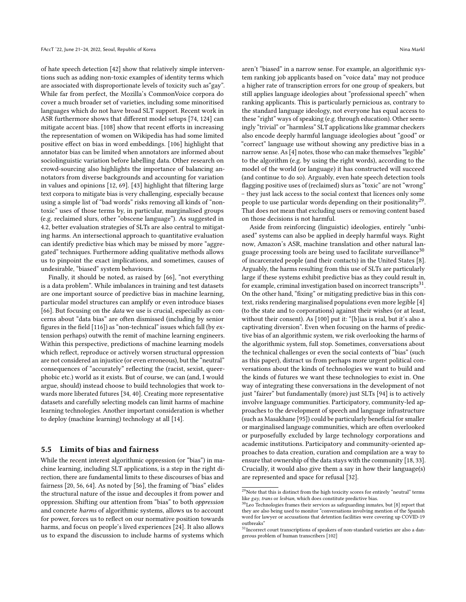of hate speech detection [\[42\]](#page-11-12) show that relatively simple interventions such as adding non-toxic examples of identity terms which are associated with disproportionate levels of toxicity such as"gay". While far from perfect, the Mozilla's CommonVoice corpora do cover a much broader set of varieties, including some minoritised languages which do not have broad SLT support. Recent work in ASR furthermore shows that different model setups [\[74,](#page-11-41) [124\]](#page-13-16) can mitigate accent bias. [\[108\]](#page-12-28) show that recent efforts in increasing the representation of women on Wikipedia has had some limited positive effect on bias in word embeddings. [\[106\]](#page-12-29) highlight that annotator bias can be limited when annotators are informed about sociolinguistic variation before labelling data. Other research on crowd-sourcing also highlights the importance of balancing annotators from diverse backgrounds and accounting for variation in values and opinions [\[12,](#page-10-28) [69\]](#page-11-42). [\[43\]](#page-11-13) highlight that filtering large text corpora to mitigate bias is very challenging, especially because using a simple list of "bad words" risks removing all kinds of "nontoxic" uses of those terms by, in particular, marginalised groups (e.g. reclaimed slurs, other "obscene language"). As suggested in [4.2,](#page-4-9) better evaluation strategies of SLTs are also central to mitigating harms. An intersectional approach to quantitative evaluation can identify predictive bias which may be missed by more "aggregated" techniques. Furthermore adding qualitative methods allows us to pinpoint the exact implications, and sometimes, causes of undesirable, "biased" system behaviours.

Finally, it should be noted, as raised by [\[66\]](#page-11-6), "not everything is a data problem". While imbalances in training and test datasets are one important source of predictive bias in machine learning, particular model structures can amplify or even introduce biases [\[66\]](#page-11-6). But focusing on the *data* we use is crucial, especially as concerns about "data bias" are often dismissed (including by senior figures in the field [\[116\]](#page-13-1)) as "non-technical" issues which fall (by extension perhaps) outwith the remit of machine learning engineers. Within this perspective, predictions of machine learning models which reflect, reproduce or actively worsen structural oppression are not considered an injustice (or even erroneous), but the "neutral" consequences of "accurately" reflecting the (racist, sexist, queerphobic etc.) world as it exists. But of course, we can (and, I would argue, should) instead choose to build technologies that work towards more liberated futures [\[34,](#page-11-0) [40\]](#page-11-1). Creating more representative datasets and carefully selecting models can limit harms of machine learning technologies. Another important consideration is whether to deploy (machine learning) technology at all [\[14\]](#page-10-3).

#### 5.5 Limits of bias and fairness

While the recent interest algorithmic oppression (or "bias") in machine learning, including SLT applications, is a step in the right direction, there are fundamental limits to these discourses of bias and fairness [\[20,](#page-10-1) [56,](#page-11-2) [64\]](#page-11-43). As noted by [\[56\]](#page-11-2), the framing of "bias" elides the structural nature of the issue and decouples it from power and oppression. Shifting our attention from "bias" to both oppression and concrete harms of algorithmic systems, allows us to account for power, forces us to reflect on our normative position towards harms, and focus on people's lived experiences [\[24\]](#page-10-7). It also allows us to expand the discussion to include harms of systems which

aren't "biased" in a narrow sense. For example, an algorithmic system ranking job applicants based on "voice data" may not produce a higher rate of transcription errors for one group of speakers, but still applies language ideologies about "professional speech" when ranking applicants. This is particularly pernicious as, contrary to the standard language ideology, not everyone has equal access to these "right" ways of speaking (e.g. through education). Other seemingly "trivial" or "harmless" SLT applications like grammar checkers also encode deeply harmful language ideologies about "good" or "correct" language use without showing any predictive bias in a narrow sense. As [\[4\]](#page-10-29) notes, those who can make themselves "legible" to the algorithm (e.g. by using the right words), according to the model of the world (or language) it has constructed will succeed (and continue to do so). Arguably, even hate speech detection tools flagging positive uses of (reclaimed) slurs as "toxic" are not "wrong" – they just lack access to the social context that licences only some people to use particular words depending on their positionality $^{29}$  $^{29}$  $^{29}$ . That does not mean that excluding users or removing content based on those decisions is not harmful.

Aside from reinforcing (linguistic) ideologies, entirely "unbiased" systems can also be applied in deeply harmful ways. Right now, Amazon's ASR, machine translation and other natural lan-guage processing tools are being used to facilitate surveillance<sup>[30](#page-9-1)</sup> of incarcerated people (and their contacts) in the United States [\[8\]](#page-10-30). Arguably, the harms resulting from this use of SLTs are particularly large if these systems exhibit predictive bias as they could result in, for example, criminal investigation based on incorrect transcripts $^{31}$  $^{31}$  $^{31}$ . On the other hand, "fixing" or mitigating predictive bias in this context, risks rendering marginalised populations even more legible [\[4\]](#page-10-29) (to the state and to corporations) against their wishes (or at least, without their consent). As [\[100\]](#page-12-34) put it: "[b]ias is real, but it's also a captivating diversion". Even when focusing on the harms of predictive bias of an algorithmic system, we risk overlooking the harms of the algorithmic system, full stop. Sometimes, conversations about the technical challenges or even the social contexts of "bias" (such as this paper), distract us from perhaps more urgent political conversations about the kinds of technologies we want to build and the kinds of futures we want these technologies to exist in. One way of integrating these conversations in the development of not just "fairer" but fundamentally (more) just SLTs [\[94\]](#page-12-35) is to actively involve language communities. Participatory, community-led approaches to the development of speech and language infrastructure (such as Masakhane [\[95\]](#page-12-36)) could be particularly beneficial for smaller or marginalised language communities, which are often overlooked or purposefully excluded by large technology corporations and academic institutions. Participatory and community-oriented approaches to data creation, curation and compilation are a way to ensure that ownership of the data stays with the community [\[18,](#page-10-26) [33\]](#page-11-44). Crucially, it would also give them a say in how their language(s) are represented and space for refusal [\[32\]](#page-10-31).

<span id="page-9-0"></span> $^\mathrm{29}\mathrm{Note}$  that this is distinct from the high toxicity scores for entirely "neutral" terms like gay, trans or lesbian, which does constitute predictive bias.

<span id="page-9-1"></span> $30$ Leo Technologies frames their services as safeguarding inmates, but [\[8\]](#page-10-30) report that they are also being used to monitor "conversations involving mention of the Spanish word for lawyer or accusations that detention facilities were covering up COVID-19 outbreaks"

<span id="page-9-2"></span> $31$ Incorrect court transcriptions of speakers of non-standard varieties are also a dangerous problem of human transcribers [\[102\]](#page-12-37)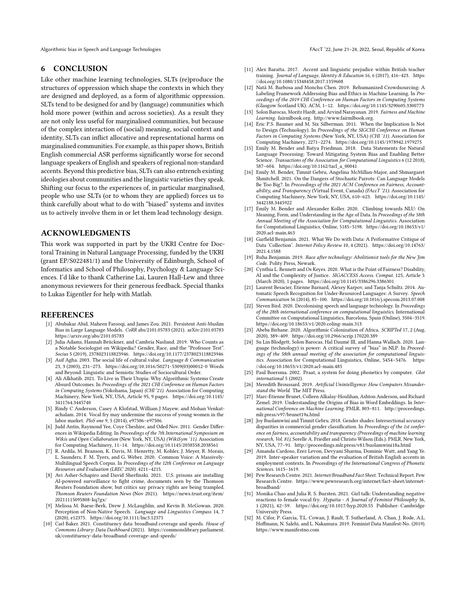Algorithmic bias in Speech and Language Technologies FACCT (22, June 21–24, 2022, Seoul, Republic of Korea

#### 6 CONCLUSION

Like other machine learning technologies, SLTs (re)produce the structures of oppression which shape the contexts in which they are designed and deployed, as a form of algorithmic oppression. SLTs tend to be designed for and by (language) communities which hold more power (within and across societies). As a result they are not only less useful for marginalised communities, but because of the complex interaction of (social) meaning, social context and identity, SLTs can inflict allocative and representational harms on marginalised communities. For example, as this paper shows, British English commercial ASR performs significantly worse for second language speakers of English and speakers of regional non-standard accents. Beyond this predictive bias, SLTs can also entrench existing ideologies about communities and the linguistic varieties they speak. Shifting our focus to the experiences of, in particular marginalised, people who use SLTs (or to whom they are applied) forces us to think carefully about what to do with "biased" systems and invites us to actively involve them in or let them lead technology design.

#### ACKNOWLEDGMENTS

This work was supported in part by the UKRI Centre for Doctoral Training in Natural Language Processing, funded by the UKRI (grant EP/S022481/1) and the University of Edinburgh, School of Informatics and School of Philosophy, Psychology & Language Sciences. I'd like to thank Catherine Lai, Lauren Hall-Lew and three anonymous reviewers for their generous feedback. Special thanks to Lukas Eigentler for help with Matlab.

#### REFERENCES

- <span id="page-10-11"></span>[1] Abubakar Abid, Maheen Farooqi, and James Zou. 2021. Persistent Anti-Muslim Bias in Large Language Models. CoRR abs/2101.05783 (2021). arXiv[:2101.05783](https://arxiv.org/abs/2101.05783) <https://arxiv.org/abs/2101.05783>
- <span id="page-10-25"></span>[2] Julia Adams, Hannah Brückner, and Cambria Naslund. 2019. Who Counts as a Notable Sociologist on Wikipedia? Gender, Race, and the "Professor Test". Socius 5 (2019), 2378023118823946.<https://doi.org/10.1177/2378023118823946>
- <span id="page-10-18"></span>[3] Asif Agha. 2003. The social life of cultural value. Language & Communication 23, 3 (2003), 231–273. [https://doi.org/10.1016/S0271-5309\(03\)00012-0](https://doi.org/10.1016/S0271-5309(03)00012-0) Words and Beyond: Linguistic and Semiotic Studies of Sociocultural Order.
- <span id="page-10-29"></span>[4] Ali Alkhatib. 2021. To Live in Their Utopia: Why Algorithmic Systems Create Absurd Outcomes. In Proceedings of the 2021 CHI Conference on Human Factors in Computing Systems (Yokohama, Japan) (CHI '21). Association for Computing Machinery, New York, NY, USA, Article 95, 9 pages. [https://doi.org/10.1145/](https://doi.org/10.1145/3411764.3445740) [3411764.3445740](https://doi.org/10.1145/3411764.3445740)
- <span id="page-10-14"></span>[5] Rindy C Anderson, Casey A Klofstad, William J Mayew, and Mohan Venkatachalam. 2014. Vocal fry may undermine the success of young women in the labor market. PloS one 9, 5 (2014), e97506–e97506.
- <span id="page-10-24"></span>[6] Judd Antin, Raymond Yee, Coye Cheshire, and Oded Nov. 2011. Gender Differences in Wikipedia Editing. In Proceedings of the 7th International Symposium on Wikis and Open Collaboration (New York, NY, USA) (WikiSym '11). Association for Computing Machinery, 11–14.<https://doi.org/10.1145/2038558.2038561>
- <span id="page-10-23"></span>[7] R. Ardila, M. Branson, K. Davis, M. Henretty, M. Kohler, J. Meyer, R. Morais, L. Saunders, F. M. Tyers, and G. Weber. 2020. Common Voice: A Massively-Multilingual Speech Corpus. In Proceedings of the 12th Conference on Language Resources and Evaluation (LREC 2020). 4211–4215.
- <span id="page-10-30"></span>[8] Avi Asher-Schapiro and David Sherfinski. 2021. U.S. prisons are installing AI-powered surveillance to fight crime, documents seen by the Thomson Reuters Foundation show, but critics say privacy rights are being trampled. Thomson Reuters Foundation News (Nov 2021). [https://news.trust.org/item/](https://news.trust.org/item/20211115095808-kq7gx/) [20211115095808-kq7gx/](https://news.trust.org/item/20211115095808-kq7gx/)
- <span id="page-10-16"></span>Melissa M. Baese-Berk, Drew J. McLaughlin, and Kevin B. McGowan. 2020. Perception of Non-Native Speech. Language and Linguistics Compass 14, 7 (2020), e12375.<https://doi.org/10.1111/lnc3.12375>
- <span id="page-10-22"></span>[10] Carl Baker. 2021. Constituency data: broadband coverage and speeds. House of Commons Library: Data Dashboard (2021). [https://commonslibrary.parliament.](https://commonslibrary.parliament.uk/constituency-data-broadband-coverage-and-speeds/) [uk/constituency-data-broadband-coverage-and-speeds/](https://commonslibrary.parliament.uk/constituency-data-broadband-coverage-and-speeds/)
- <span id="page-10-17"></span>[11] Alex Baratta. 2017. Accent and linguistic prejudice within British teacher training. Journal of Language, Identity & Education 16, 6 (2017), 416–423. [https:](https://doi.org/10.1080/15348458.2017.1359608) [//doi.org/10.1080/15348458.2017.1359608](https://doi.org/10.1080/15348458.2017.1359608)
- <span id="page-10-28"></span>[12] Natã M. Barbosa and Monchu Chen. 2019. Rehumanized Crowdsourcing: A Labeling Framework Addressing Bias and Ethics in Machine Learning. In Proceedings of the 2019 CHI Conference on Human Factors in Computing Systems (Glasgow Scotland UK). ACM, 1–12.<https://doi.org/10.1145/3290605.3300773>
- <span id="page-10-2"></span>[13] Solon Barocas, Moritz Hardt, and Arvind Narayanan. 2019. Fairness and Machine Learning. fairmlbook.org. [http://www.fairmlbook.org.](http://www.fairmlbook.org)
- <span id="page-10-3"></span>[14] Eric P.S. Baumer and M. Six Silberman. 2011. When the Implication Is Not to Design (Technology). In Proceedings of the SIGCHI Conference on Human Factors in Computing Systems (New York, NY, USA) (CHI '11). Association for Computing Machinery, 2271–2274.<https://doi.org/10.1145/1978942.1979275>
- <span id="page-10-27"></span>[15] Emily M. Bender and Batya Friedman. 2018. Data Statements for Natural Language Processing: Toward Mitigating System Bias and Enabling Better Science. Transactions of the Association for Computational Linguistics 6 (12 2018), 587–604. [https://doi.org/10.1162/tacl\\_a\\_00041](https://doi.org/10.1162/tacl_a_00041)
- <span id="page-10-6"></span>[16] Emily M. Bender, Timnit Gebru, Angelina McMillan-Major, and Shmargaret Shmitchell. 2021. On the Dangers of Stochastic Parrots: Can Language Models Be Too Big?. In Proceedings of the 2021 ACM Conference on Fairness, Accountability, and Transparency (Virtual Event, Canada) (FAccT '21). Association for Computing Machinery, New York, NY, USA, 610–623. [https://doi.org/10.1145/](https://doi.org/10.1145/3442188.3445922) [3442188.3445922](https://doi.org/10.1145/3442188.3445922)
- <span id="page-10-5"></span>[17] Emily M. Bender and Alexander Koller. 2020. Climbing towards NLU: On Meaning, Form, and Understanding in the Age of Data. In Proceedings of the 58th Annual Meeting of the Association for Computational Linguistics. Association for Computational Linguistics, Online, 5185–5198. [https://doi.org/10.18653/v1/](https://doi.org/10.18653/v1/2020.acl-main.463) [2020.acl-main.463](https://doi.org/10.18653/v1/2020.acl-main.463)
- <span id="page-10-26"></span>[18] Garfield Benjamin. 2021. What We Do with Data: A Performative Critique of Data 'Collection'. Internet Policy Review 10, 4 (2021). [https://doi.org/10.14763/](https://doi.org/10.14763/2021.4.1588) [2021.4.1588](https://doi.org/10.14763/2021.4.1588)
- <span id="page-10-0"></span>[19] Ruha Benjamin. 2019. Race after technology: Abolitionist tools for the New Jim Code. Polity Press, Newark.
- <span id="page-10-1"></span>[20] Cynthia L. Bennett and Os Keyes. 2020. What is the Point of Fairness? Disability, AI and the Complexity of Justice. SIGACCESS Access. Comput. 125, Article 5 (March 2020), 1 pages.<https://doi.org/10.1145/3386296.3386301>
- <span id="page-10-8"></span>[21] Laurent Besacier, Etienne Barnard, Alexey Karpov, and Tanja Schultz. 2014. Automatic Speech Recognition for Under-Resourced Languages: A Survey. Speech Communication 56 (2014), 85–100.<https://doi.org/10.1016/j.specom.2013.07.008>
- <span id="page-10-9"></span>[22] Steven Bird. 2020. Decolonising speech and language technology. In Proceedings of the 28th international conference on computational linguistics. International Committee on Computational Linguistics, Barcelona, Spain (Online), 3504–3519. <https://doi.org/10.18653/v1/2020.coling-main.313>
- <span id="page-10-10"></span>[23] Abeba Birhane. 2020. Algorithmic Colonization of Africa. SCRIPTed 17, 2 (Aug. 2020), 389–409.<https://doi.org/10.2966/scrip.170220.389>
- <span id="page-10-7"></span>[24] Su Lin Blodgett, Solon Barocas, Hal Daumé III, and Hanna Wallach. 2020. Language (technology) is power: A critical survey of "bias" in NLP. In Proceedings of the 58th annual meeting of the association for computational linguistics. Association for Computational Linguistics, Online, 5454–5476. [https:](https://doi.org/10.18653/v1/2020.acl-main.485) [//doi.org/10.18653/v1/2020.acl-main.485](https://doi.org/10.18653/v1/2020.acl-main.485)
- <span id="page-10-20"></span>[25] Paul Boersma. 2002. Praat, a system for doing phonetics by computer. Glot international 5 (2002).
- <span id="page-10-4"></span>[26] Meredith Broussard. 2019. Artificial Unintelligence: How Computers Misunderstand the World. The MIT Press.
- <span id="page-10-12"></span>[27] Marc-Etienne Brunet, Colleen Alkalay-Houlihan, Ashton Anderson, and Richard Zemel. 2019. Understanding the Origins of Bias in Word Embeddings. In International Conference on Machine Learning. PMLR, 803–811. [http://proceedings.](http://proceedings.mlr.press/v97/brunet19a.html) [mlr.press/v97/brunet19a.html](http://proceedings.mlr.press/v97/brunet19a.html)
- <span id="page-10-13"></span>[28] Joy Buolamwini and Timnit Gebru. 2018. Gender shades: Intersectional accuracy disparities in commercial gender classification. In Proceedings of the 1st conference on fairness, accountability and transparency (Proceedings of machine learning research, Vol. 81), Sorelle A. Friedler and Christo Wilson (Eds.). PMLR, New York, NY, USA, 77–91.<http://proceedings.mlr.press/v81/buolamwini18a.html>
- <span id="page-10-19"></span>[29] Amanda Cardoso, Erez Levon, Devyani Sharma, Dominic Watt, and Yang Ye. 2019. Inter-speaker variation and the evaluation of British English accents in employment contexts. In Proceedings of the International Congress of Phonetic Sciences. 1615–1619.
- <span id="page-10-21"></span>[30] Pew Research Centre. 2021. Internet/Broadband Fact Sheet. Technical Report. Pew Research Centre. [https://www.pewresearch.org/internet/fact-sheet/internet](https://www.pewresearch.org/internet/fact-sheet/internet-broadband/)[broadband/](https://www.pewresearch.org/internet/fact-sheet/internet-broadband/)
- <span id="page-10-15"></span>[31] Monika Chao and Julia R. S. Bursten. 2021. Girl talk: Understanding negative reactions to female vocal fry. Hypatia - A Journal of Feminist Philosophy 36, 1 (2021), 42–59.<https://doi.org/10.1017/hyp.2020.55> Publisher: Cambridge University Press.
- <span id="page-10-31"></span>[32] M. Cifor, P. Garcia, T.L. Cowan, J. Rault, T. Sutherland, A. Chan, J. Rode, A.L. Hoffmann, N. Salehi, and L. Nakamura. 2019. Feminist Data Manifest-No. (2019). <https://www.manifestno.com>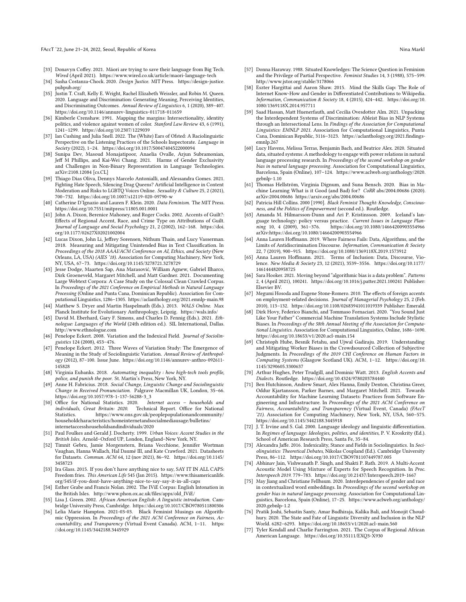#### FAccT '22, June 21–24, 2022, Seoul, Republic of Korea Nina Markl (1999) and September 2014, 2014 and Markl (199

- <span id="page-11-44"></span>[33] Donavyn Coffey. 2021. Māori are trying to save their language from Big Tech. Wired (April 2021).<https://www.wired.co.uk/article/maori-language-tech>
- <span id="page-11-0"></span>[34] Sasha Costanza-Chock. 2020. Design Justice. MIT Press. [https://design-justice.](https://design-justice.pubpub.org/) [pubpub.org/](https://design-justice.pubpub.org/)
- <span id="page-11-24"></span>[35] Justin T. Craft, Kelly E. Wright, Rachel Elizabeth Weissler, and Robin M. Queen. 2020. Language and Discrimination: Generating Meaning, Perceiving Identities, and Discriminating Outcomes. Annual Review of Linguistics 6, 1 (2020), 389–407. <https://doi.org/10.1146/annurev-linguistics-011718-011659>
- <span id="page-11-17"></span>[36] Kimberle Crenshaw. 1991. Mapping the margins: Intersectionality, identity politics, and violence against women of color. Stanford Law Review 43, 6 (1991), 1241–1299.<https://doi.org/10.2307/1229039>
- <span id="page-11-32"></span>[37] Ian Cushing and Julia Snell. 2022. The (White) Ears of Ofsted: A Raciolinguistic Perspective on the Listening Practices of the Schools Inspectorate. Language in Society (2022), 1–24.<https://doi.org/10.1017/S0047404522000094>
- <span id="page-11-14"></span>[38] Sunipa Dev, Masoud Monajatipoor, Anaelia Ovalle, Arjun Subramonian, Jeff M Phillips, and Kai-Wei Chang. 2021. Harms of Gender Exclusivity and Challenges in Non-Binary Representation in Language Technologies. arXiv[:2108.12084](https://arxiv.org/abs/2108.12084) [cs.CL]
- <span id="page-11-4"></span>[39] Thiago Dias Oliva, Dennys Marcelo Antonialli, and Alessandra Gomes. 2021. Fighting Hate Speech, Silencing Drag Queens? Artificial Intelligence in Content Moderation and Risks to LGBTQ Voices Online. Sexuality & Culture 25, 2 (2021), 700–732.<https://doi.org/10.1007/s12119-020-09790-w>
- <span id="page-11-1"></span>[40] Catherine D'Ignazio and Lauren F. Klein. 2020. Data Feminism. The MIT Press. <https://doi.org/10.7551/mitpress/11805.001.0001>
- <span id="page-11-27"></span>[41] John A. Dixon, Berenice Mahoney, and Roger Cocks. 2002. Accents of Guilt?: Effects of Regional Accent, Race, and Crime Type on Attributions of Guilt. Journal of Language and Social Psychology 21, 2 (2002), 162–168. [https://doi.](https://doi.org/10.1177/02627X02021002004) [org/10.1177/02627X02021002004](https://doi.org/10.1177/02627X02021002004)
- <span id="page-11-12"></span>[42] Lucas Dixon, John Li, Jeffrey Sorensen, Nithum Thain, and Lucy Vasserman. 2018. Measuring and Mitigating Unintended Bias in Text Classification. In Proceedings of the 2018 AAAI/ACM Conference on AI, Ethics, and Society (New Orleans, LA, USA) (AIES '18). Association for Computing Machinery, New York, NY, USA, 67–73.<https://doi.org/10.1145/3278721.3278729>
- <span id="page-11-13"></span>[43] Jesse Dodge, Maarten Sap, Ana Marasović, William Agnew, Gabriel Ilharco, Dirk Groeneveld, Margaret Mitchell, and Matt Gardner. 2021. Documenting Large Webtext Corpora: A Case Study on the Colossal Clean Crawled Corpus. In Proceedings of the 2021 Conference on Empirical Methods in Natural Language Processing (Online and Punta Cana, Dominican Republic). Association for Computational Linguistics, 1286–1305.<https://aclanthology.org/2021.emnlp-main.98>
- <span id="page-11-10"></span>[44] Matthew S. Dryer and Martin Haspelmath (Eds.). 2013. WALS Online. Max Planck Institute for Evolutionary Anthropology, Leipzig.<https://wals.info/>
- <span id="page-11-8"></span>[45] David M. Eberhard, Gary F. Simons, and Charles D. Fennig (Eds.). 2021. Ethnologue: Languages of the World (24th edition ed.). SIL International, Dallas. <http://www.ethnologue.com>
- <span id="page-11-7"></span>[46] Penelope Eckert. 2008. Variation and the Indexical Field. Journal of Sociolinguistics 124 (2008), 453–476.
- <span id="page-11-21"></span>[47] Penelope Eckert. 2012. Three Waves of Variation Study: The Emergence of Meaning in the Study of Sociolinguistic Variation. Annual Review of Anthropology (2012), 87–100. Issue June. [https://doi.org/10.1146/annurev-anthro-092611-](https://doi.org/10.1146/annurev-anthro-092611-145828) [145828](https://doi.org/10.1146/annurev-anthro-092611-145828)
- <span id="page-11-3"></span>[48] Virginia Eubanks. 2018. Automating inequality : how high-tech tools profile, police, and punish the poor. St. Martin's Press, New York, NY.
- <span id="page-11-31"></span>[49] Anne H. Fabricius. 2018. Social Change, Linguistic Change and Sociolinguistic Change in Received Pronunciation. Palgrave Macmillan UK, London, 35–66. [https://doi.org/10.1057/978-1-137-56288-3\\_3](https://doi.org/10.1057/978-1-137-56288-3_3)<br>Office for National Statistics. 2020. Internet access - households and
- <span id="page-11-34"></span>[50] Office for National Statistics. 2020. individuals, Great Britain: 2020. Technical Report. Office for National Statistics. [https://www.ons.gov.uk/peoplepopulationandcommunity/](https://www.ons.gov.uk/peoplepopulationandcommunity/householdcharacteristics/homeinternetandsocialmediausage/bulletins/internetaccesshouseholdsandindividuals/2020) [householdcharacteristics/homeinternetandsocialmediausage/bulletins/](https://www.ons.gov.uk/peoplepopulationandcommunity/householdcharacteristics/homeinternetandsocialmediausage/bulletins/internetaccesshouseholdsandindividuals/2020) [internetaccesshouseholdsandindividuals/2020](https://www.ons.gov.uk/peoplepopulationandcommunity/householdcharacteristics/homeinternetandsocialmediausage/bulletins/internetaccesshouseholdsandindividuals/2020)
- <span id="page-11-29"></span>[51] Paul Foulkes and Gerald J. Docherty. 1999. Urban Voices: Accent Studies in the British Isles. Arnold–Oxford UP, London, England–New York, NY.
- <span id="page-11-39"></span>[52] Timnit Gebru, Jamie Morgenstern, Briana Vecchione, Jennifer Wortman Vaughan, Hanna Wallach, Hal Daumé III, and Kate Crawford. 2021. Datasheets for Datasets. Commun. ACM 64, 12 (nov 2021), 86–92. [https://doi.org/10.1145/](https://doi.org/10.1145/3458723) [3458723](https://doi.org/10.1145/3458723)
- <span id="page-11-25"></span>[53] Ira Glass. 2015. If you don't have anything nice to say, SAY IT IN ALL CAPS: Freedom fries. This American Life 545 (Jan 2015). [https://www.thisamericanlife.](https://www.thisamericanlife.org/545/if-you-dont-have-anything-nice-to-say-say-it-in-all-caps) [org/545/if-you-dont-have-anything-nice-to-say-say-it-in-all-caps](https://www.thisamericanlife.org/545/if-you-dont-have-anything-nice-to-say-say-it-in-all-caps)
- <span id="page-11-33"></span>[54] Esther Grabe and Francis Nolan. 2002. The IViE Corpus: English Intonation in the British Isles. [http://www.phon.ox.ac.uk/files/apps/old\\_IViE/](http://www.phon.ox.ac.uk/files/apps/old_IViE/)
- <span id="page-11-35"></span>[55] Lisa J. Green. 2002. African American English: A linguistic introduction. Cambridge University Press, Cambridge.<https://doi.org/10.1017/CBO9780511800306>
- <span id="page-11-2"></span>[56] Lelia Marie Hampton. 2021-03-03. Black Feminist Musings on Algorithmic Oppression. In Proceedings of the 2021 ACM Conference on Fairness, Accountability, and Transparency (Virtual Event Canada). ACM, 1–11. [https:](https://doi.org/10.1145/3442188.3445929) [//doi.org/10.1145/3442188.3445929](https://doi.org/10.1145/3442188.3445929)
- <span id="page-11-26"></span>[57] Donna Haraway. 1988. Situated Knowledges: The Science Question in Feminism and the Privilege of Partial Perspective. Feminist Studies 14, 3 (1988), 575–599. <http://www.jstor.org/stable/3178066>
- <span id="page-11-36"></span>[58] Eszter Hargittai and Aaron Shaw. 2015. Mind the Skills Gap: The Role of Internet Know-How and Gender in Differentiated Contributions to Wikipedia. Information, Communication & Society 18, 4 (2015), 424–442. [https://doi.org/10.](https://doi.org/10.1080/1369118X.2014.957711) [1080/1369118X.2014.957711](https://doi.org/10.1080/1369118X.2014.957711)
- <span id="page-11-19"></span>[59] Saad Hassan, Matt Huenerfauth, and Cecilia Ovesdotter Alm. 2021. Unpacking the Interdependent Systems of Discrimination: Ableist Bias in NLP Systems through an Intersectional Lens. In Findings of the Association for Computational Linguistics: EMNLP 2021. Association for Computational Linguistics, Punta Cana, Dominican Republic, 3116–3123. [https://aclanthology.org/2021.findings](https://aclanthology.org/2021.findings-emnlp.267)[emnlp.267](https://aclanthology.org/2021.findings-emnlp.267)
- <span id="page-11-38"></span>[60] Lucy Havens, Melissa Terras, Benjamin Bach, and Beatrice Alex. 2020. Situated data, situated systems: A methodology to engage with power relations in natural language processing research. In Proceedings of the second workshop on gender bias in natural language processing. Association for Computational Linguistics, Barcelona, Spain (Online), 107–124. [https://www.aclweb.org/anthology/2020.](https://www.aclweb.org/anthology/2020.gebnlp-1.10) [gebnlp-1.10](https://www.aclweb.org/anthology/2020.gebnlp-1.10)
- <span id="page-11-5"></span>[61] Thomas Hellström, Virginia Dignum, and Suna Bensch. 2020. Bias in Machine Learning What is it Good (and Bad) for? CoRR abs/2004.00686 (2020). arXiv[:2004.00686 https://arxiv.org/abs/2004.00686](https://arxiv.org/abs/2004.00686)
- <span id="page-11-18"></span>[62] Patricia Hill Collins. 2000 [1990]. Black Feminist Thought: Knowledge, Consciousness, and the Politics of Empowerment (second ed.). Routledge.
- <span id="page-11-37"></span>[63] Amanda M. Hilmarsson-Dunn and Ari P. Kristinsson. 2009. Iceland's language technology: policy versus practice. *Current Issues in Language Plan-*<br>ning 10, 4 (2009), 361-376. https://doi.org/10.1080/14664200903554966 https://doi.org/10.1080/14664200903554966 arXiv[:https://doi.org/10.1080/14664200903554966](https://arxiv.org/abs/https://doi.org/10.1080/14664200903554966)
- <span id="page-11-43"></span>[64] Anna Lauren Hoffmann. 2019. Where Fairness Fails: Data, Algorithms, and the Limits of Antidiscrimination Discourse. Information, Communication & Society 22, 7 (2019), 900–915.<https://doi.org/10.1080/1369118X.2019.1573912>
- <span id="page-11-11"></span>[65] Anna Lauren Hoffmann. 2021. Terms of Inclusion: Data, Discourse, Violence. New Media & Society 23, 12 (2021), 3539–3556. [https://doi.org/10.1177/](https://doi.org/10.1177/1461444820958725) [1461444820958725](https://doi.org/10.1177/1461444820958725)
- <span id="page-11-6"></span>[66] Sara Hooker. 2021. Moving beyond "algorithmic bias is a data problem". Patterns 2, 4 (April 2021), 100241.<https://doi.org/10.1016/j.patter.2021.100241> Publisher: Elsevier BV.
- <span id="page-11-28"></span>[67] Megumi Hosoda and Eugene Stone-Romero. 2010. The effects of foreign accents on employment-related decisions. Journal of Managerial Psychology 25, 2 (Feb. 2010), 113–132.<https://doi.org/10.1108/02683941011019339> Publisher: Emerald.
- <span id="page-11-15"></span>[68] Dirk Hovy, Federico Bianchi, and Tommaso Fornaciari. 2020. "You Sound Just Like Your Father" Commercial Machine Translation Systems Include Stylistic Biases. In Proceedings of the 58th Annual Meeting of the Association for Computational Linguistics. Association for Computational Linguistics, Online, 1686–1690. <https://doi.org/10.18653/v1/2020.acl-main.154>
- <span id="page-11-42"></span>[69] Christoph Hube, Besnik Fetahu, and Ujwal Gadiraju. 2019. Understanding and Mitigating Worker Biases in the Crowdsourced Collection of Subjective Judgments. In Proceedings of the 2019 CHI Conference on Human Factors in Computing Systems (Glasgow Scotland UK). ACM, 1–12. [https://doi.org/10.](https://doi.org/10.1145/3290605.3300637) [1145/3290605.3300637](https://doi.org/10.1145/3290605.3300637)
- <span id="page-11-30"></span>[70] Arthur Hughes, Peter Trudgill, and Dominic Watt. 2013. English Accents and Dialects. Routledge.<https://doi.org/10.4324/9780203784440>
- <span id="page-11-40"></span>[71] Ben Hutchinson, Andrew Smart, Alex Hanna, Emily Denton, Christina Greer, Oddur Kjartansson, Parker Barnes, and Margaret Mitchell. 2021. Towards Accountability for Machine Learning Datasets: Practices from Software Engineering and Infrastructure. In Proceedings of the 2021 ACM Conference on Fairness, Accountability, and Transparency (Virtual Event, Canada) (FAccT '21). Association for Computing Machinery, New York, NY, USA, 560–575. <https://doi.org/10.1145/3442188.3445918>
- <span id="page-11-23"></span>[72] J. T. Irvine and S. Gal. 2000. Language ideology and linguistic differentiation. In Regimes of language: Ideologies, polities, and identities, P. V. Kroskrity (Ed.). School of American Research Press, Santa Fe, 35–84.
- <span id="page-11-22"></span>[73] Alexandra Jaffe. 2016. Indexicality, Stance and Fields in Sociolinguistics. In Sociolinguistics: Theoretical Debates, Nikolas Coupland (Ed.). Cambridge University Press, 86–112.<https://doi.org/10.1017/CBO9781107449787.005>
- <span id="page-11-41"></span>[74] Abhinav Jain, Vishwanath P. Singh, and Shakti P. Rath. 2019. A Multi-Accent Acoustic Model Using Mixture of Experts for Speech Recognition. In Proc. Interspeech 2019. 779–783.<https://doi.org/10.21437/Interspeech.2019-1667>
- <span id="page-11-20"></span>[75] May Jiang and Christiane Fellbaum. 2020. Interdependencies of gender and race in contextualized word embeddings. In Proceedings of the second workshop on gender bias in natural language processing. Association for Computational Linguistics, Barcelona, Spain (Online), 17–25. [https://www.aclweb.org/anthology/](https://www.aclweb.org/anthology/2020.gebnlp-1.2) [2020.gebnlp-1.2](https://www.aclweb.org/anthology/2020.gebnlp-1.2)
- <span id="page-11-9"></span>[76] Pratik Joshi, Sebastin Santy, Amar Budhiraja, Kalika Bali, and Monojit Choudhury. 2020. The State and Fate of Linguistic Diversity and Inclusion in the NLP World. 6282–6293.<https://doi.org/10.18653/v1/2020.acl-main.560>
- <span id="page-11-16"></span>[77] Tyler Kendall and Charlie Farrington. 2021. The Corpus of Regional African American Language.<https://doi.org/10.35111/EXQ3-X930>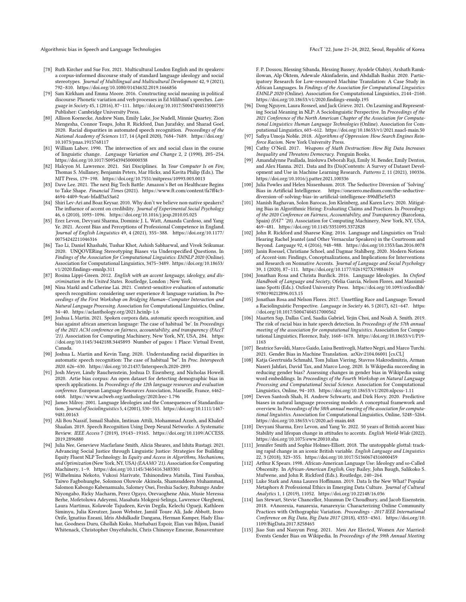Algorithmic bias in Speech and Language Technologies FACCT (22, June 21–24, 2022, Seoul, Republic of Korea

- <span id="page-12-24"></span>[78] Ruth Kircher and Sue Fox. 2021. Multicultural London English and its speakers: a corpus-informed discourse study of standard language ideology and social stereotypes. Journal of Multilingual and Multicultural Development 42, 9 (2021), 792–810.<https://doi.org/10.1080/01434632.2019.1666856>
- <span id="page-12-12"></span>[79] Sam Kirkham and Emma Moore. 2016. Constructing social meaning in political discourse: Phonetic variation and verb processes in Ed Miliband's speeches. Language in Society 45, 1 (2016), 87–111.<https://doi.org/10.1017/S0047404515000755> Publisher: Cambridge University Press.
- <span id="page-12-5"></span>[80] Allison Koenecke, Andrew Nam, Emily Lake, Joe Nudell, Minnie Quartey, Zion Mengesha, Connor Toups, John R. Rickford, Dan Jurafsky, and Sharad Goel. 2020. Racial disparities in automated speech recognition. Proceedings of the National Academy of Sciences 117, 14 (April 2020), 7684–7689. [https://doi.org/](https://doi.org/10.1073/pnas.1915768117) [10.1073/pnas.1915768117](https://doi.org/10.1073/pnas.1915768117)
- <span id="page-12-23"></span>[81] William Labov. 1990. The intersection of sex and social class in the course of linguistic change. Language Variation and Change 2, 2 (1990), 205–254. <https://doi.org/10.1017/S0954394500000338>
- <span id="page-12-25"></span>[82] Halcyon M. Lawrence. 2021. Siri Disciplines. In Your Computer Is on Fire, Thomas S. Mullaney, Benjamin Peters, Mar Hicks, and Kavita Philip (Eds.). The MIT Press, 179–198.<https://doi.org/10.7551/mitpress/10993.003.0013>
- <span id="page-12-3"></span>[83] Dave Lee. 2021. The next Big Tech Battle: Amazon's Bet on Healthcare Begins to Take Shape. Financial Times (2021). [https://www.ft.com/content/fa7ff4c3-](https://www.ft.com/content/fa7ff4c3-4694-4409-9ca6-bfadf3a53a62) [4694-4409-9ca6-bfadf3a53a62](https://www.ft.com/content/fa7ff4c3-4694-4409-9ca6-bfadf3a53a62)
- <span id="page-12-15"></span>[84] Shiri Lev-Ari and Boaz Keysar. 2010. Why don't we believe non-native speakers? The influence of accent on credibility. Journal of Experimental Social Psychology 46, 6 (2010), 1093–1096.<https://doi.org/10.1016/j.jesp.2010.05.025>
- <span id="page-12-19"></span>[85] Erez Levon, Devyani Sharma, Dominic J. L. Watt, Amanda Cardoso, and Yang Ye. 2021. Accent Bias and Perceptions of Professional Competence in England. Journal of English Linguistics 49, 4 (2021), 355–388. [https://doi.org/10.1177/](https://doi.org/10.1177/00754242211046316) [00754242211046316](https://doi.org/10.1177/00754242211046316)
- <span id="page-12-8"></span>[86] Tao Li, Daniel Khashabi, Tushar Khot, Ashish Sabharwal, and Vivek Srikumar. 2020. UNQOVERing Stereotyping Biases via Underspecified Questions. In Findings of the Association for Computational Linguistics: EMNLP 2020 (Online). Association for Computational Linguistics, 3475–3489. [https://doi.org/10.18653/](https://doi.org/10.18653/v1/2020.findings-emnlp.311) [v1/2020.findings-emnlp.311](https://doi.org/10.18653/v1/2020.findings-emnlp.311)
- <span id="page-12-14"></span>[87] Rosina Lippi-Green. 2012. English with an accent language, ideology, and discrimination in the United States. Routledge, London ; New York.
- <span id="page-12-20"></span>[88] Nina Markl and Catherine Lai. 2021. Context-sensitive evaluation of automatic speech recognition: considering user experience & language variation. In Proceedings of the First Workshop on Bridging Human–Computer Interaction and Natural Language Processing. Association for Computational Linguistics, Online, 34–40.<https://aclanthology.org/2021.hcinlp-1.6>
- <span id="page-12-22"></span>[89] Joshua L Martin. 2021. Spoken corpora data, automatic speech recognition, and bias against african american language: The case of habitual 'be'. In Proceedings of the 2021 ACM conference on fairness, accountability, and transparency (FAccT '21). Association for Computing Machinery, New York, NY, USA, 284. [https:](https://doi.org/10.1145/3442188.3445893) [//doi.org/10.1145/3442188.3445893](https://doi.org/10.1145/3442188.3445893) Number of pages: 1 Place: Virtual Event, Canada.
- <span id="page-12-10"></span>[90] Joshua L. Martin and Kevin Tang. 2020. Understanding racial disparities in automatic speech recognition: The case of habitual "be". In Proc. Interspeech 2020. 626–630.<https://doi.org/10.21437/Interspeech.2020-2893>
- <span id="page-12-11"></span>[91] Josh Meyer, Lindy Rauchenstein, Joshua D. Eisenberg, and Nicholas Howell. 2020. Artie bias corpus: An open dataset for detecting demographic bias in speech applications. In Proceedings of the 12th language resources and evaluation conference. European Language Resources Association, Marseille, France, 6462– 6468.<https://www.aclweb.org/anthology/2020.lrec-1.796>
- <span id="page-12-26"></span>[92] James Milroy. 2001. Language Ideologies and the Consequences of Standardization. Journal of Sociolinguistics 5, 4 (2001), 530–555. [https://doi.org/10.1111/1467-](https://doi.org/10.1111/1467-9481.00163) [9481.00163](https://doi.org/10.1111/1467-9481.00163)
- <span id="page-12-21"></span>[93] Ali Bou Nassif, Ismail Shahin, Imtinan Attili, Mohammad Azzeh, and Khaled Shaalan. 2019. Speech Recognition Using Deep Neural Networks: A Systematic Review. IEEE Access 7 (2019), 19143–19165. [https://doi.org/10.1109/ACCESS.](https://doi.org/10.1109/ACCESS.2019.2896880) [2019.2896880](https://doi.org/10.1109/ACCESS.2019.2896880)
- <span id="page-12-35"></span>[94] Julia Nee, Genevieve Macfarlane Smith, Alicia Sheares, and Ishita Rustagi. 2021. Advancing Social Justice through Linguistic Justice: Strategies for Building Equity Fluent NLP Technology. In Equity and Access in Algorithms, Mechanisms, and Optimization (New York, NY, USA) (EAAMO '21). Association for Computing Machinery, 1–9.<https://doi.org/10.1145/3465416.3483301>
- <span id="page-12-36"></span>[95] Wilhelmina Nekoto, Vukosi Marivate, Tshinondiwa Matsila, Timi Fasubaa, Taiwo Fagbohungbe, Solomon Oluwole Akinola, Shamsuddeen Muhammad, Salomon Kabongo Kabenamualu, Salomey Osei, Freshia Sackey, Rubungo Andre Niyongabo, Ricky Macharm, Perez Ogayo, Orevaoghene Ahia, Musie Meressa Berhe, Mofetoluwa Adeyemi, Masabata Mokgesi-Selinga, Lawrence Okegbemi, Laura Martinus, Kolawole Tajudeen, Kevin Degila, Kelechi Ogueji, Kathleen Siminyu, Julia Kreutzer, Jason Webster, Jamiil Toure Ali, Jade Abbott, Iroro Orife, Ignatius Ezeani, Idris Abdulkadir Dangana, Herman Kamper, Hady Elsahar, Goodness Duru, Ghollah Kioko, Murhabazi Espoir, Elan van Biljon, Daniel Whitenack, Christopher Onyefuluchi, Chris Chinenye Emezue, Bonaventure

F. P. Dossou, Blessing Sibanda, Blessing Bassey, Ayodele Olabiyi, Arshath Ramkilowan, Alp Öktem, Adewale Akinfaderin, and Abdallah Bashir. 2020. Participatory Research for Low-resourced Machine Translation: A Case Study in African Languages. In Findings of the Association for Computational Linguistics: EMNLP 2020 (Online). Association for Computational Linguistics, 2144–2160. <https://doi.org/10.18653/v1/2020.findings-emnlp.195>

- <span id="page-12-6"></span>[96] Dong Nguyen, Laura Rosseel, and Jack Grieve. 2021. On Learning and Representing Social Meaning in NLP: A Sociolinguistic Perspective. In Proceedings of the 2021 Conference of the North American Chapter of the Association for Computational Linguistics: Human Language Technologies (Online). Association for Computational Linguistics, 603–612.<https://doi.org/10.18653/v1/2021.naacl-main.50>
- <span id="page-12-0"></span>[97] Safiya Umoja Noble. 2018. Algorithms of Oppression: How Search Engines Reinforce Racism. New York University Press.
- <span id="page-12-1"></span>[98] Cathy O'Neil. 2017. Weapons of Math Destruction: How Big Data Increases Inequality and Threatens Democracy. Penguin Books.
- <span id="page-12-33"></span>[99] Amandalynne Paullada, Inioluwa Deborah Raji, Emily M. Bender, Emily Denton, and Alex Hanna. 2021. Data and Its (Dis)Contents: A Survey of Dataset Development and Use in Machine Learning Research. Patterns 2, 11 (2021), 100336. <https://doi.org/10.1016/j.patter.2021.100336>
- <span id="page-12-34"></span>[100] Julia Powles and Helen Nissenbaum. 2018. The Seductive Diversion of 'Solving' Bias in Artificial Intelligence. [https://onezero.medium.com/the-seductive](https://onezero.medium.com/the-seductive-diversion-of-solving-bias-in-artificial-intelligence-890df5e5ef53)[diversion-of-solving-bias-in-artificial-intelligence-890df5e5ef53](https://onezero.medium.com/the-seductive-diversion-of-solving-bias-in-artificial-intelligence-890df5e5ef53)
- <span id="page-12-2"></span>[101] Manish Raghavan, Solon Barocas, Jon Kleinberg, and Karen Levy. 2020. Mitigating Bias in Algorithmic Hiring: Evaluating Claims and Practices. In Proceedings of the 2020 Conference on Fairness, Accountability, and Transparency (Barcelona, Spain) (FAT\* '20). Association for Computing Machinery, New York, NY, USA, 469–481.<https://doi.org/10.1145/3351095.3372828>
- <span id="page-12-37"></span>[102] John R. Rickford and Sharese King. 2016. Language and Linguistics on Trial: Hearing Rachel Jeantel (and Other Vernacular Speakers) in the Courtroom and Beyond. Language 92, 4 (2016), 948–988.<https://doi.org/10.1353/lan.2016.0078>
- <span id="page-12-18"></span>[103] Janin Roessel, Christiane Schoel, and Dagmar Stahlberg. 2020. Modern Notions of Accent-ism: Findings, Conceptualizations, and Implications for Interventions and Research on Nonnative Accents. Journal of Language and Social Psychology
- <span id="page-12-16"></span>39, 1 (2020), 87–111.<https://doi.org/10.1177/0261927X19884619> [104] Jonathan Rosa and Christa Burdick. 2016. Language Ideologies. In Oxford Handbook of Language and Society, Ofelia García, Nelson Flores, and Massimiliano Spotti (Eds.). Oxford University Press. [https://doi.org/10.1093/oxfordhb/](https://doi.org/10.1093/oxfordhb/9780190212896.013.15) [9780190212896.013.15](https://doi.org/10.1093/oxfordhb/9780190212896.013.15)
- <span id="page-12-30"></span>[105] Jonathan Rosa and Nelson Flores. 2017. Unsettling Race and Language: Toward a Raciolinguistic Perspective. Language in Society 46, 5 (2017), 621–647. [https:](https://doi.org/10.1017/S0047404517000562) [//doi.org/10.1017/S0047404517000562](https://doi.org/10.1017/S0047404517000562)
- <span id="page-12-29"></span>[106] Maarten Sap, Dallas Card, Saadia Gabriel, Yejin Choi, and Noah A. Smith. 2019. The risk of racial bias in hate speech detection. In Proceedings of the 57th annual meeting of the association for computational linguistics. Association for Computational Linguistics, Florence, Italy, 1668–1678. [https://doi.org/10.18653/v1/P19-](https://doi.org/10.18653/v1/P19-1163) [1163](https://doi.org/10.18653/v1/P19-1163)
- <span id="page-12-9"></span>[107] Beatrice Savoldi, Marco Gaido, Luisa Bentivogli, Matteo Negri, and Marco Turchi. 2021. Gender Bias in Machine Translation. arXiv[:2104.06001](https://arxiv.org/abs/2104.06001) [cs.CL]
- <span id="page-12-28"></span>[108] Katja Geertruida Schmahl, Tom Julian Viering, Stavros Makrodimitris, Arman Naseri Jahfari, David Tax, and Marco Loog. 2020. Is Wikipedia succeeding in reducing gender bias? Assessing changes in gender bias in Wikipedia using word embeddings. In Proceedings of the Fourth Workshop on Natural Language Processing and Computational Social Science. Association for Computational Linguistics, Online, 94–103.<https://doi.org/10.18653/v1/2020.nlpcss-1.11>
- <span id="page-12-4"></span>[109] Deven Santosh Shah, H. Andrew Schwartz, and Dirk Hovy. 2020. Predictive biases in natural language processing models: A conceptual framework and overview. In Proceedings of the 58th annual meeting of the association for computational linguistics. Association for Computational Linguistics, Online, 5248–5264. <https://doi.org/10.18653/v1/2020.acl-main.468>
- <span id="page-12-17"></span>[110] Devyani Sharma, Erez Levon, and Yang Ye. 2022. 50 years of British accent bias: Stability and lifespan change in attitudes to accents. English World-Wide (2022). <https://doi.org/10.1075/eww.20010.sha>
- <span id="page-12-13"></span>[111] Jennifer Smith and Sophie Holmes-Elliott. 2018. The unstoppable glottal: tracking rapid change in an iconic British variable. English Language and Linguistics 22, 3 (2018), 323–355.<https://doi.org/10.1017/S1360674316000459>
- <span id="page-12-7"></span>[112] Arthur K Spears. 1998. African-American Language Use: Ideology and so-Called Obscenity. In African-American English, Guy Bailey, John Baugh, Salikoko S. Mufwene, and John R. Rickford (Eds.). Routledge, 240–264.
- <span id="page-12-32"></span>[113] Luke Stark and Anna Lauren Hoffmann. 2019. Data Is the New What? Popular Metaphors & Professional Ethics in Emerging Data Culture. Journal of Cultural Analytics 1, 1 (2019), 11052.<https://doi.org/10.22148/16.036>
- <span id="page-12-31"></span>[114] Ian Stewart, Stevie Chancellor, Munmun De Choudhury, and Jacob Eisenstein. 2018. #Anorexia, #anarexia, #anarexyia: Characterizing Online Community Practices with Orthographic Variation. Proceedings - 2017 IEEE International Conference on Big Data, Big Data 2017 (2018), 4353–4361. [https://doi.org/10.](https://doi.org/10.1109/BigData.2017.8258465) [1109/BigData.2017.8258465](https://doi.org/10.1109/BigData.2017.8258465)
- <span id="page-12-27"></span>[115] Jiao Sun and Nanyun Peng. 2021. Men Are Elected, Women Are Married: Events Gender Bias on Wikipedia. In Proceedings of the 59th Annual Meeting